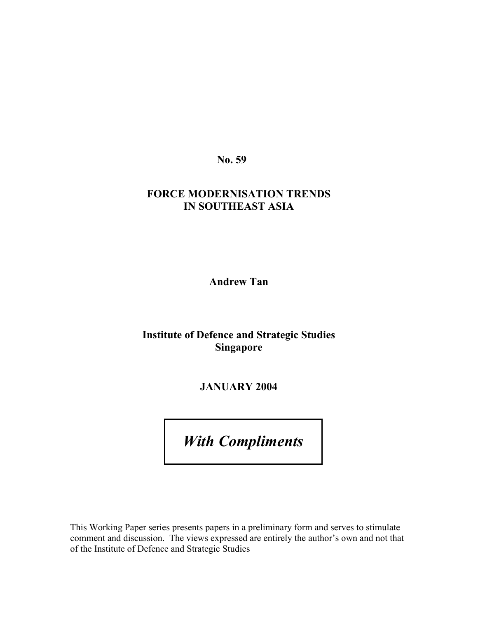**No. 59** 

# **FORCE MODERNISATION TRENDS IN SOUTHEAST ASIA**

**Andrew Tan** 

# **Institute of Defence and Strategic Studies Singapore**

**JANUARY 2004** 

*With Compliments* 

This Working Paper series presents papers in a preliminary form and serves to stimulate comment and discussion. The views expressed are entirely the author's own and not that of the Institute of Defence and Strategic Studies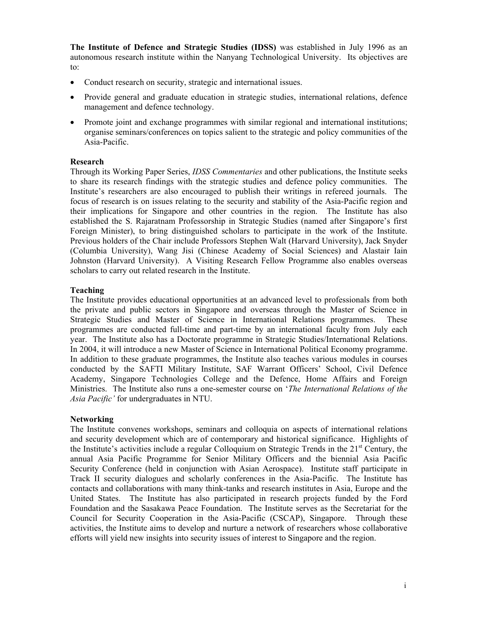**The Institute of Defence and Strategic Studies (IDSS)** was established in July 1996 as an autonomous research institute within the Nanyang Technological University. Its objectives are to:

- Conduct research on security, strategic and international issues.
- Provide general and graduate education in strategic studies, international relations, defence management and defence technology.
- Promote joint and exchange programmes with similar regional and international institutions; organise seminars/conferences on topics salient to the strategic and policy communities of the Asia-Pacific.

#### **Research**

Through its Working Paper Series, *IDSS Commentaries* and other publications, the Institute seeks to share its research findings with the strategic studies and defence policy communities. The Institute's researchers are also encouraged to publish their writings in refereed journals. The focus of research is on issues relating to the security and stability of the Asia-Pacific region and their implications for Singapore and other countries in the region. The Institute has also established the S. Rajaratnam Professorship in Strategic Studies (named after Singapore's first Foreign Minister), to bring distinguished scholars to participate in the work of the Institute. Previous holders of the Chair include Professors Stephen Walt (Harvard University), Jack Snyder (Columbia University), Wang Jisi (Chinese Academy of Social Sciences) and Alastair Iain Johnston (Harvard University). A Visiting Research Fellow Programme also enables overseas scholars to carry out related research in the Institute.

#### **Teaching**

The Institute provides educational opportunities at an advanced level to professionals from both the private and public sectors in Singapore and overseas through the Master of Science in Strategic Studies and Master of Science in International Relations programmes. These programmes are conducted full-time and part-time by an international faculty from July each year. The Institute also has a Doctorate programme in Strategic Studies/International Relations. In 2004, it will introduce a new Master of Science in International Political Economy programme. In addition to these graduate programmes, the Institute also teaches various modules in courses conducted by the SAFTI Military Institute, SAF Warrant Officers' School, Civil Defence Academy, Singapore Technologies College and the Defence, Home Affairs and Foreign Ministries. The Institute also runs a one-semester course on '*The International Relations of the Asia Pacific'* for undergraduates in NTU.

#### **Networking**

The Institute convenes workshops, seminars and colloquia on aspects of international relations and security development which are of contemporary and historical significance. Highlights of the Institute's activities include a regular Colloquium on Strategic Trends in the  $21<sup>st</sup>$  Century, the annual Asia Pacific Programme for Senior Military Officers and the biennial Asia Pacific Security Conference (held in conjunction with Asian Aerospace). Institute staff participate in Track II security dialogues and scholarly conferences in the Asia-Pacific. The Institute has contacts and collaborations with many think-tanks and research institutes in Asia, Europe and the United States. The Institute has also participated in research projects funded by the Ford Foundation and the Sasakawa Peace Foundation. The Institute serves as the Secretariat for the Council for Security Cooperation in the Asia-Pacific (CSCAP), Singapore. Through these activities, the Institute aims to develop and nurture a network of researchers whose collaborative efforts will yield new insights into security issues of interest to Singapore and the region.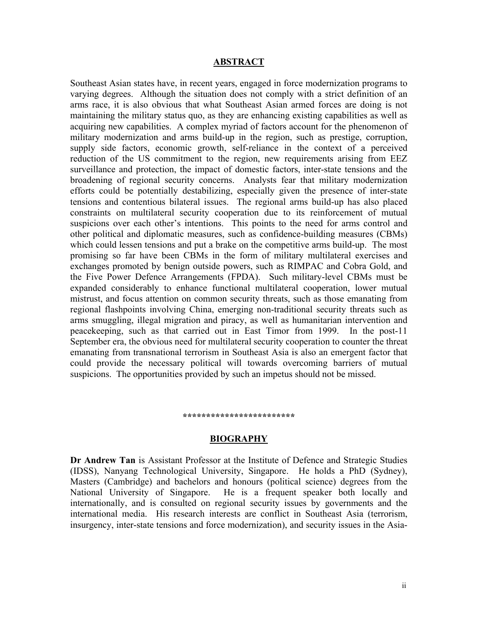#### **ABSTRACT**

Southeast Asian states have, in recent years, engaged in force modernization programs to varying degrees. Although the situation does not comply with a strict definition of an arms race, it is also obvious that what Southeast Asian armed forces are doing is not maintaining the military status quo, as they are enhancing existing capabilities as well as acquiring new capabilities. A complex myriad of factors account for the phenomenon of military modernization and arms build-up in the region, such as prestige, corruption, supply side factors, economic growth, self-reliance in the context of a perceived reduction of the US commitment to the region, new requirements arising from EEZ surveillance and protection, the impact of domestic factors, inter-state tensions and the broadening of regional security concerns. Analysts fear that military modernization efforts could be potentially destabilizing, especially given the presence of inter-state tensions and contentious bilateral issues. The regional arms build-up has also placed constraints on multilateral security cooperation due to its reinforcement of mutual suspicions over each other's intentions. This points to the need for arms control and other political and diplomatic measures, such as confidence-building measures (CBMs) which could lessen tensions and put a brake on the competitive arms build-up. The most promising so far have been CBMs in the form of military multilateral exercises and exchanges promoted by benign outside powers, such as RIMPAC and Cobra Gold, and the Five Power Defence Arrangements (FPDA). Such military-level CBMs must be expanded considerably to enhance functional multilateral cooperation, lower mutual mistrust, and focus attention on common security threats, such as those emanating from regional flashpoints involving China, emerging non-traditional security threats such as arms smuggling, illegal migration and piracy, as well as humanitarian intervention and peacekeeping, such as that carried out in East Timor from 1999. In the post-11 September era, the obvious need for multilateral security cooperation to counter the threat emanating from transnational terrorism in Southeast Asia is also an emergent factor that could provide the necessary political will towards overcoming barriers of mutual suspicions. The opportunities provided by such an impetus should not be missed.

#### **\*\*\*\*\*\*\*\*\*\*\*\*\*\*\*\*\*\*\*\*\*\*\*\***

#### **BIOGRAPHY**

**Dr Andrew Tan** is Assistant Professor at the Institute of Defence and Strategic Studies (IDSS), Nanyang Technological University, Singapore. He holds a PhD (Sydney), Masters (Cambridge) and bachelors and honours (political science) degrees from the National University of Singapore. He is a frequent speaker both locally and internationally, and is consulted on regional security issues by governments and the international media. His research interests are conflict in Southeast Asia (terrorism, insurgency, inter-state tensions and force modernization), and security issues in the Asia-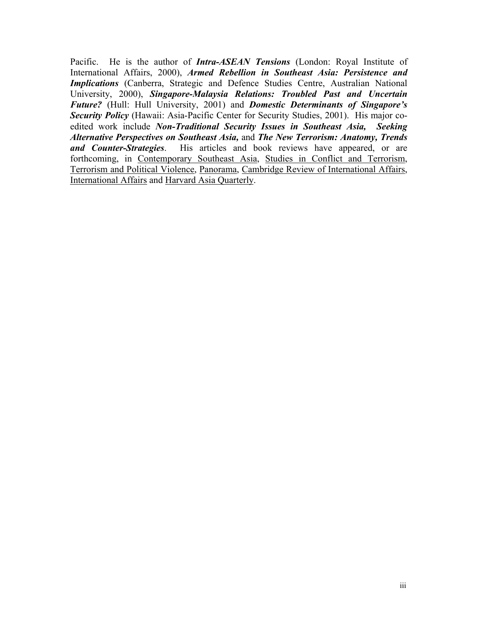Pacific. He is the author of *Intra-ASEAN Tensions* (London: Royal Institute of International Affairs, 2000), *Armed Rebellion in Southeast Asia: Persistence and Implications* (Canberra, Strategic and Defence Studies Centre, Australian National University, 2000), *Singapore-Malaysia Relations: Troubled Past and Uncertain Future?* (Hull: Hull University, 2001) and *Domestic Determinants of Singapore's Security Policy* (Hawaii: Asia-Pacific Center for Security Studies, 2001). His major coedited work include *Non-Traditional Security Issues in Southeast Asia, Seeking Alternative Perspectives on Southeast Asia,* and *The New Terrorism: Anatomy, Trends and Counter-Strategies*. His articles and book reviews have appeared, or are forthcoming, in Contemporary Southeast Asia, Studies in Conflict and Terrorism, Terrorism and Political Violence, Panorama, Cambridge Review of International Affairs, International Affairs and Harvard Asia Quarterly.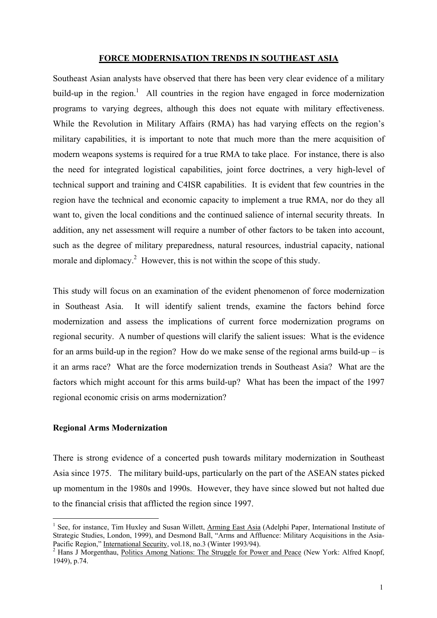#### **FORCE MODERNISATION TRENDS IN SOUTHEAST ASIA**

Southeast Asian analysts have observed that there has been very clear evidence of a military build-up in the region.<sup>1</sup> All countries in the region have engaged in force modernization programs to varying degrees, although this does not equate with military effectiveness. While the Revolution in Military Affairs (RMA) has had varying effects on the region's military capabilities, it is important to note that much more than the mere acquisition of modern weapons systems is required for a true RMA to take place. For instance, there is also the need for integrated logistical capabilities, joint force doctrines, a very high-level of technical support and training and C4ISR capabilities. It is evident that few countries in the region have the technical and economic capacity to implement a true RMA, nor do they all want to, given the local conditions and the continued salience of internal security threats. In addition, any net assessment will require a number of other factors to be taken into account, such as the degree of military preparedness, natural resources, industrial capacity, national morale and diplomacy.<sup>[2](#page-4-1)</sup> However, this is not within the scope of this study.

This study will focus on an examination of the evident phenomenon of force modernization in Southeast Asia. It will identify salient trends, examine the factors behind force modernization and assess the implications of current force modernization programs on regional security. A number of questions will clarify the salient issues: What is the evidence for an arms build-up in the region? How do we make sense of the regional arms build-up  $-$  is it an arms race? What are the force modernization trends in Southeast Asia? What are the factors which might account for this arms build-up? What has been the impact of the 1997 regional economic crisis on arms modernization?

#### **Regional Arms Modernization**

 $\overline{a}$ 

There is strong evidence of a concerted push towards military modernization in Southeast Asia since 1975. The military build-ups, particularly on the part of the ASEAN states picked up momentum in the 1980s and 1990s. However, they have since slowed but not halted due to the financial crisis that afflicted the region since 1997.

<span id="page-4-0"></span><sup>&</sup>lt;sup>1</sup> See, for instance, Tim Huxley and Susan Willett, Arming East Asia (Adelphi Paper, International Institute of Strategic Studies, London, 1999), and Desmond Ball, "Arms and Affluence: Military Acquisitions in the Asia-Pacific Region," International Security, vol.18, no.3 (Winter 1993/94).

<span id="page-4-1"></span><sup>&</sup>lt;sup>2</sup> Hans J Morgenthau, Politics Among Nations: The Struggle for Power and Peace (New York: Alfred Knopf, 1949), p.74.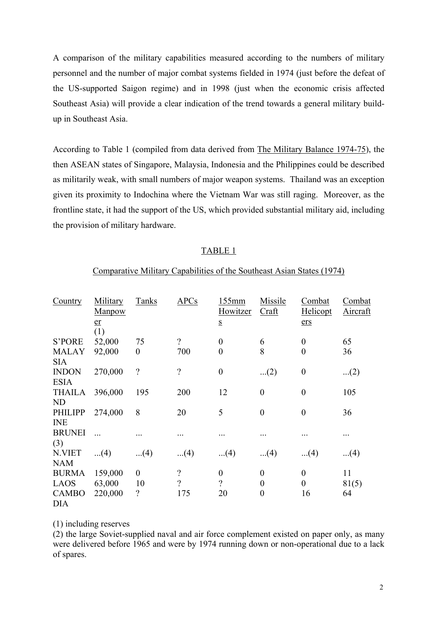A comparison of the military capabilities measured according to the numbers of military personnel and the number of major combat systems fielded in 1974 (just before the defeat of the US-supported Saigon regime) and in 1998 (just when the economic crisis affected Southeast Asia) will provide a clear indication of the trend towards a general military buildup in Southeast Asia.

According to Table 1 (compiled from data derived from The Military Balance 1974-75), the then ASEAN states of Singapore, Malaysia, Indonesia and the Philippines could be described as militarily weak, with small numbers of major weapon systems. Thailand was an exception given its proximity to Indochina where the Vietnam War was still raging. Moreover, as the frontline state, it had the support of the US, which provided substantial military aid, including the provision of military hardware.

# TABLE 1

# Comparative Military Capabilities of the Southeast Asian States (1974)

| Country                      | Military<br>Manpow | <b>Tanks</b>     | <b>APCs</b>              | 155mm<br>Howitzer        | Missile<br>Cr <sub>aff</sub> | Combat<br>Helicopt | Combat<br><b>Aircraft</b> |
|------------------------------|--------------------|------------------|--------------------------|--------------------------|------------------------------|--------------------|---------------------------|
|                              | er<br>(1)          |                  |                          | $\underline{\mathbf{S}}$ |                              | ers                |                           |
| <b>S'PORE</b>                | 52,000             | 75               | $\overline{\mathcal{L}}$ | $\boldsymbol{0}$         | 6                            | $\boldsymbol{0}$   | 65                        |
| <b>MALAY</b><br><b>SIA</b>   | 92,000             | $\boldsymbol{0}$ | 700                      | $\overline{0}$           | 8                            | $\boldsymbol{0}$   | 36                        |
| <b>INDON</b><br><b>ESIA</b>  | 270,000            | $\gamma$         | $\gamma$                 | $\overline{0}$           | $(2)$                        | $\boldsymbol{0}$   | $(2)$                     |
| <b>THAILA</b><br><b>ND</b>   | 396,000            | 195              | 200                      | 12                       | $\overline{0}$               | $\boldsymbol{0}$   | 105                       |
| <b>PHILIPP</b><br><b>INE</b> | 274,000            | 8                | 20                       | 5                        | $\overline{0}$               | $\boldsymbol{0}$   | 36                        |
| <b>BRUNEI</b><br>(3)         |                    |                  |                          |                          |                              |                    | .                         |
| N.VIET<br><b>NAM</b>         | $(4)$              | $(4)$            | $(4)$                    | $(4)$                    | $(4)$                        | $(4)$              | $(4)$                     |
| <b>BURMA</b>                 | 159,000            | $\overline{0}$   | $\overline{\mathcal{L}}$ | $\overline{0}$           | $\overline{0}$               | $\boldsymbol{0}$   | 11                        |
| <b>LAOS</b>                  | 63,000             | 10               | $\overline{?}$           | $\gamma$                 | $\theta$                     | $\boldsymbol{0}$   | 81(5)                     |
| <b>CAMBO</b><br><b>DIA</b>   | 220,000            | $\gamma$         | 175                      | 20                       | $\overline{0}$               | 16                 | 64                        |

(1) including reserves

(2) the large Soviet-supplied naval and air force complement existed on paper only, as many were delivered before 1965 and were by 1974 running down or non-operational due to a lack of spares.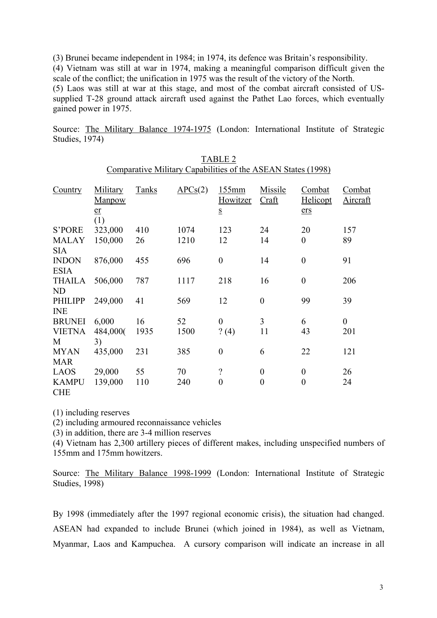(3) Brunei became independent in 1984; in 1974, its defence was Britain's responsibility.

(4) Vietnam was still at war in 1974, making a meaningful comparison difficult given the scale of the conflict; the unification in 1975 was the result of the victory of the North.

(5) Laos was still at war at this stage, and most of the combat aircraft consisted of USsupplied T-28 ground attack aircraft used against the Pathet Lao forces, which eventually gained power in 1975.

Source: The Military Balance 1974-1975 (London: International Institute of Strategic Studies, 1974)

> TABLE 2 Comparative Military Capabilities of the ASEAN States (1998)

| Country                      | Military<br><b>Manpow</b><br>er | <b>Tanks</b> | $\Delta PCS(2)$ | 155mm<br>Howitzer<br>$\underline{\mathbf{S}}$ | Missile<br>Craft | Combat<br>Helicopt<br>er <sub>S</sub> | Combat<br><b>Aircraft</b> |
|------------------------------|---------------------------------|--------------|-----------------|-----------------------------------------------|------------------|---------------------------------------|---------------------------|
| <b>S'PORE</b>                | (1)<br>323,000                  | 410          | 1074            | 123                                           | 24               | 20                                    | 157                       |
| <b>MALAY</b><br><b>SIA</b>   | 150,000                         | 26           | 1210            | 12                                            | 14               | $\overline{0}$                        | 89                        |
| <b>INDON</b><br><b>ESIA</b>  | 876,000                         | 455          | 696             | $\boldsymbol{0}$                              | 14               | $\boldsymbol{0}$                      | 91                        |
| <b>THAILA</b><br>ND          | 506,000                         | 787          | 1117            | 218                                           | 16               | $\boldsymbol{0}$                      | 206                       |
| <b>PHILIPP</b><br><b>INE</b> | 249,000                         | 41           | 569             | 12                                            | $\theta$         | 99                                    | 39                        |
| <b>BRUNEI</b>                | 6,000                           | 16           | 52              | $\boldsymbol{0}$                              | 3                | 6                                     | $\boldsymbol{0}$          |
| <b>VIETNA</b><br>M           | 484,000(<br>3)                  | 1935         | 1500            | ? (4)                                         | 11               | 43                                    | 201                       |
| <b>MYAN</b><br><b>MAR</b>    | 435,000                         | 231          | 385             | $\boldsymbol{0}$                              | 6                | 22                                    | 121                       |
| <b>LAOS</b>                  | 29,000                          | 55           | 70              | $\overline{\mathcal{L}}$                      | $\boldsymbol{0}$ | $\boldsymbol{0}$                      | 26                        |
| <b>KAMPU</b><br><b>CHE</b>   | 139,000                         | 110          | 240             | $\theta$                                      | $\theta$         | $\boldsymbol{0}$                      | 24                        |

(1) including reserves

(2) including armoured reconnaissance vehicles

(3) in addition, there are 3-4 million reserves

(4) Vietnam has 2,300 artillery pieces of different makes, including unspecified numbers of 155mm and 175mm howitzers.

Source: The Military Balance 1998-1999 (London: International Institute of Strategic Studies, 1998)

By 1998 (immediately after the 1997 regional economic crisis), the situation had changed. ASEAN had expanded to include Brunei (which joined in 1984), as well as Vietnam, Myanmar, Laos and Kampuchea. A cursory comparison will indicate an increase in all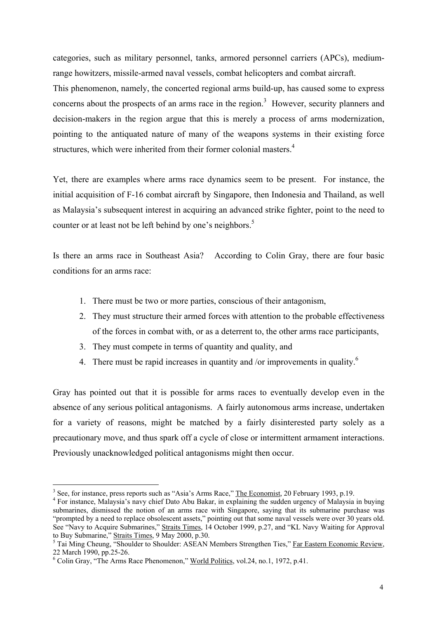categories, such as military personnel, tanks, armored personnel carriers (APCs), mediumrange howitzers, missile-armed naval vessels, combat helicopters and combat aircraft.

This phenomenon, namely, the concerted regional arms build-up, has caused some to express concerns about the prospects of an arms race in the region.<sup>[3](#page-7-0)</sup> However, security planners and decision-makers in the region argue that this is merely a process of arms modernization, pointing to the antiquated nature of many of the weapons systems in their existing force structures, which were inherited from their former colonial masters.<sup>[4](#page-7-1)</sup>

Yet, there are examples where arms race dynamics seem to be present. For instance, the initial acquisition of F-16 combat aircraft by Singapore, then Indonesia and Thailand, as well as Malaysia's subsequent interest in acquiring an advanced strike fighter, point to the need to counter or at least not be left behind by one's neighbors.<sup>[5](#page-7-2)</sup>

Is there an arms race in Southeast Asia? According to Colin Gray, there are four basic conditions for an arms race:

- 1. There must be two or more parties, conscious of their antagonism,
- 2. They must structure their armed forces with attention to the probable effectiveness of the forces in combat with, or as a deterrent to, the other arms race participants,
- 3. They must compete in terms of quantity and quality, and
- 4. There must be rapid increases in quantity and /or improvements in quality.<sup>[6](#page-7-3)</sup>

Gray has pointed out that it is possible for arms races to eventually develop even in the absence of any serious political antagonisms. A fairly autonomous arms increase, undertaken for a variety of reasons, might be matched by a fairly disinterested party solely as a precautionary move, and thus spark off a cycle of close or intermittent armament interactions. Previously unacknowledged political antagonisms might then occur.

 $\overline{a}$ 

<span id="page-7-0"></span><sup>&</sup>lt;sup>3</sup> See, for instance, press reports such as "Asia's Arms Race," <u>The Economist</u>, 20 February 1993, p.19.  $\frac{4}{5}$  For instance. Malaysia's navy objects Aby Baker, in evoluting the sudden urgeneu of Malaysia.

<span id="page-7-1"></span><sup>&</sup>lt;sup>4</sup> For instance, Malaysia's navy chief Dato Abu Bakar, in explaining the sudden urgency of Malaysia in buying submarines, dismissed the notion of an arms race with Singapore, saying that its submarine purchase was "prompted by a need to replace obsolescent assets," pointing out that some naval vessels were over 30 years old. See "Navy to Acquire Submarines," Straits Times, 14 October 1999, p.27, and "KL Navy Waiting for Approval to Buy Submarine," Straits Times, 9 May 2000, p.30.<br><sup>5</sup> Tai Ming Cheung, "Shoulder to Shoulder: ASEAN Members Strengthen Ties," <u>Far Eastern Economic Review</u>,

<span id="page-7-2"></span><sup>22</sup> March 1990, pp. 25-26.

<span id="page-7-3"></span><sup>&</sup>lt;sup>6</sup> Colin Gray, "The Arms Race Phenomenon," World Politics, vol.24, no.1, 1972, p.41.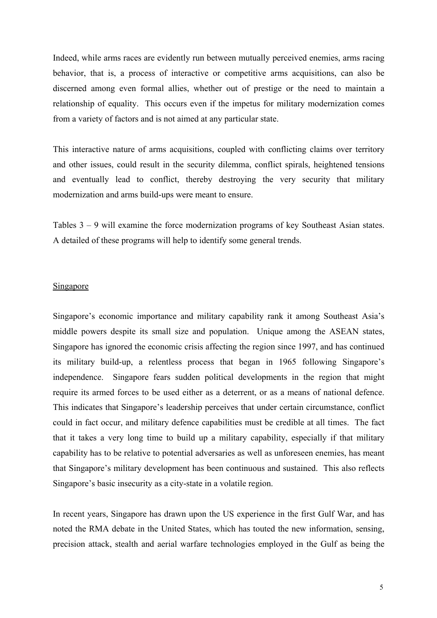Indeed, while arms races are evidently run between mutually perceived enemies, arms racing behavior, that is, a process of interactive or competitive arms acquisitions, can also be discerned among even formal allies, whether out of prestige or the need to maintain a relationship of equality. This occurs even if the impetus for military modernization comes from a variety of factors and is not aimed at any particular state.

This interactive nature of arms acquisitions, coupled with conflicting claims over territory and other issues, could result in the security dilemma, conflict spirals, heightened tensions and eventually lead to conflict, thereby destroying the very security that military modernization and arms build-ups were meant to ensure.

Tables 3 – 9 will examine the force modernization programs of key Southeast Asian states. A detailed of these programs will help to identify some general trends.

#### Singapore

Singapore's economic importance and military capability rank it among Southeast Asia's middle powers despite its small size and population. Unique among the ASEAN states, Singapore has ignored the economic crisis affecting the region since 1997, and has continued its military build-up, a relentless process that began in 1965 following Singapore's independence. Singapore fears sudden political developments in the region that might require its armed forces to be used either as a deterrent, or as a means of national defence. This indicates that Singapore's leadership perceives that under certain circumstance, conflict could in fact occur, and military defence capabilities must be credible at all times. The fact that it takes a very long time to build up a military capability, especially if that military capability has to be relative to potential adversaries as well as unforeseen enemies, has meant that Singapore's military development has been continuous and sustained. This also reflects Singapore's basic insecurity as a city-state in a volatile region.

In recent years, Singapore has drawn upon the US experience in the first Gulf War, and has noted the RMA debate in the United States, which has touted the new information, sensing, precision attack, stealth and aerial warfare technologies employed in the Gulf as being the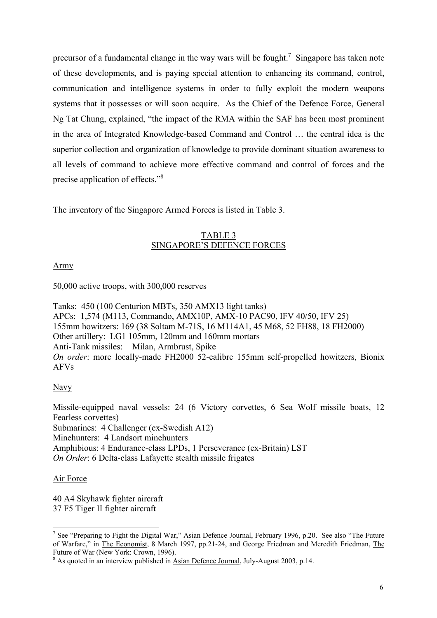precursor of a fundamental change in the way wars will be fought.<sup>7</sup> Singapore has taken note of these developments, and is paying special attention to enhancing its command, control, communication and intelligence systems in order to fully exploit the modern weapons systems that it possesses or will soon acquire. As the Chief of the Defence Force, General Ng Tat Chung, explained, "the impact of the RMA within the SAF has been most prominent in the area of Integrated Knowledge-based Command and Control … the central idea is the superior collection and organization of knowledge to provide dominant situation awareness to all levels of command to achieve more effective command and control of forces and the precise application of effects."<sup>[8](#page-9-1)</sup>

The inventory of the Singapore Armed Forces is listed in Table 3.

# TABLE 3 SINGAPORE'S DEFENCE FORCES

Army

50,000 active troops, with 300,000 reserves

Tanks: 450 (100 Centurion MBTs, 350 AMX13 light tanks) APCs: 1,574 (M113, Commando, AMX10P, AMX-10 PAC90, IFV 40/50, IFV 25) 155mm howitzers: 169 (38 Soltam M-71S, 16 M114A1, 45 M68, 52 FH88, 18 FH2000) Other artillery: LG1 105mm, 120mm and 160mm mortars Anti-Tank missiles: Milan, Armbrust, Spike *On order*: more locally-made FH2000 52-calibre 155mm self-propelled howitzers, Bionix AFVs

# Navy

Missile-equipped naval vessels: 24 (6 Victory corvettes, 6 Sea Wolf missile boats, 12 Fearless corvettes) Submarines: 4 Challenger (ex-Swedish A12) Minehunters: 4 Landsort minehunters Amphibious: 4 Endurance-class LPDs, 1 Perseverance (ex-Britain) LST *On Order*: 6 Delta-class Lafayette stealth missile frigates

# Air Force

40 A4 Skyhawk fighter aircraft 37 F5 Tiger II fighter aircraft

<span id="page-9-0"></span><sup>&</sup>lt;sup>7</sup> See "Preparing to Fight the Digital War," Asian Defence Journal, February 1996, p.20. See also "The Future of Warfare," in The Economist, 8 March 1997, pp.21-24, and George Friedman and Meredith Friedman, The Future of War (New York: Crown, 1996).

<span id="page-9-1"></span><sup>&</sup>lt;sup>8</sup> As quoted in an interview published in Asian Defence Journal, July-August 2003, p.14.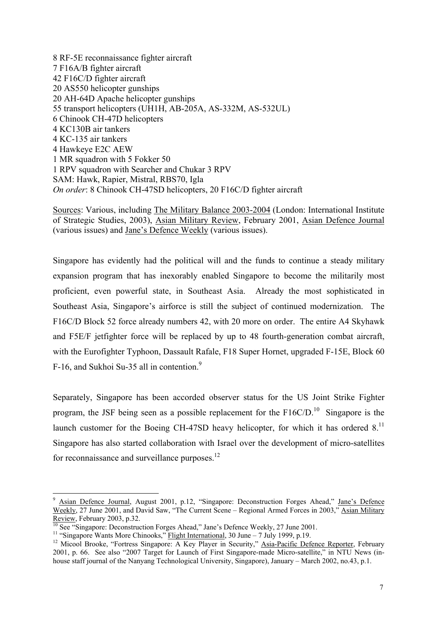8 RF-5E reconnaissance fighter aircraft 7 F16A/B fighter aircraft 42 F16C/D fighter aircraft 20 AS550 helicopter gunships 20 AH-64D Apache helicopter gunships 55 transport helicopters (UH1H, AB-205A, AS-332M, AS-532UL) 6 Chinook CH-47D helicopters 4 KC130B air tankers 4 KC-135 air tankers 4 Hawkeye E2C AEW 1 MR squadron with 5 Fokker 50 1 RPV squadron with Searcher and Chukar 3 RPV SAM: Hawk, Rapier, Mistral, RBS70, Igla *On order*: 8 Chinook CH-47SD helicopters, 20 F16C/D fighter aircraft

Sources: Various, including The Military Balance 2003-2004 (London: International Institute of Strategic Studies, 2003), Asian Military Review, February 2001, Asian Defence Journal (various issues) and Jane's Defence Weekly (various issues).

Singapore has evidently had the political will and the funds to continue a steady military expansion program that has inexorably enabled Singapore to become the militarily most proficient, even powerful state, in Southeast Asia. Already the most sophisticated in Southeast Asia, Singapore's airforce is still the subject of continued modernization. The F16C/D Block 52 force already numbers 42, with 20 more on order. The entire A4 Skyhawk and F5E/F jetfighter force will be replaced by up to 48 fourth-generation combat aircraft, with the Eurofighter Typhoon, Dassault Rafale, F18 Super Hornet, upgraded F-15E, Block 60 F-16, and Sukhoi Su-35 all in contention. $9$ 

Separately, Singapore has been accorded observer status for the US Joint Strike Fighter program, the JSF being seen as a possible replacement for the  $F16C/D$ <sup>10</sup>. Singapore is the launch customer for the Boeing CH-47SD heavy helicopter, for which it has ordered  $8<sup>11</sup>$ Singapore has also started collaboration with Israel over the development of micro-satellites for reconnaissance and surveillance purposes.<sup>[12](#page-10-3)</sup>

 $\overline{a}$ 

<span id="page-10-0"></span><sup>9</sup> Asian Defence Journal, August 2001, p.12, "Singapore: Deconstruction Forges Ahead," Jane's Defence Weekly, 27 June 2001, and David Saw, "The Current Scene – Regional Armed Forces in 2003," Asian Military Review, February 2003, p.32.

<span id="page-10-1"></span>

<span id="page-10-3"></span><span id="page-10-2"></span>

<sup>&</sup>lt;sup>10</sup> See "Singapore: Deconstruction Forges Ahead," Jane's Defence Weekly, 27 June 2001.<br><sup>11</sup> "Singapore Wants More Chinooks," <u>Flight International</u>, 30 June – 7 July 1999, p.19.<br><sup>12</sup> Micool Brooke, "Fortress Singapore: A 2001, p. 66. See also "2007 Target for Launch of First Singapore-made Micro-satellite," in NTU News (inhouse staff journal of the Nanyang Technological University, Singapore), January – March 2002, no.43, p.1.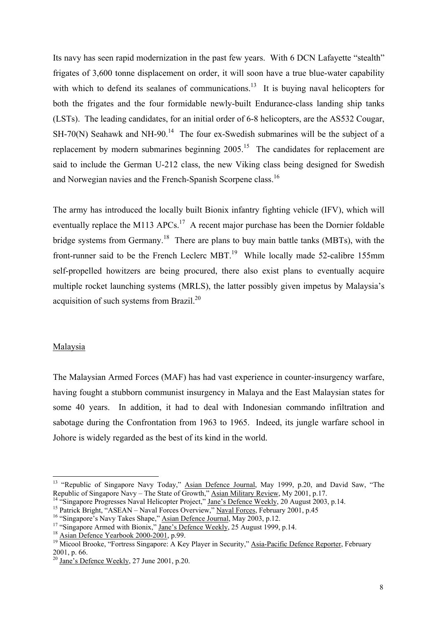Its navy has seen rapid modernization in the past few years. With 6 DCN Lafayette "stealth" frigates of 3,600 tonne displacement on order, it will soon have a true blue-water capability with which to defend its sealanes of communications.<sup>13</sup> It is buying naval helicopters for both the frigates and the four formidable newly-built Endurance-class landing ship tanks (LSTs). The leading candidates, for an initial order of 6-8 helicopters, are the AS532 Cougar,  $SH-70(N)$  Seahawk and NH-90.<sup>14</sup> The four ex-Swedish submarines will be the subject of a replacement by modern submarines beginning  $2005$ <sup>15</sup>. The candidates for replacement are said to include the German U-212 class, the new Viking class being designed for Swedish and Norwegian navies and the French-Spanish Scorpene class.<sup>16</sup>

The army has introduced the locally built Bionix infantry fighting vehicle (IFV), which will eventually replace the M113 APCs.<sup>17</sup> A recent major purchase has been the Dornier foldable bridge systems from Germany.<sup>18</sup> There are plans to buy main battle tanks (MBTs), with the front-runner said to be the French Leclerc MBT.<sup>19</sup> While locally made 52-calibre 155mm self-propelled howitzers are being procured, there also exist plans to eventually acquire multiple rocket launching systems (MRLS), the latter possibly given impetus by Malaysia's acquisition of such systems from Brazil.[20](#page-11-7)

#### Malaysia

 $\overline{a}$ 

The Malaysian Armed Forces (MAF) has had vast experience in counter-insurgency warfare, having fought a stubborn communist insurgency in Malaya and the East Malaysian states for some 40 years. In addition, it had to deal with Indonesian commando infiltration and sabotage during the Confrontation from 1963 to 1965. Indeed, its jungle warfare school in Johore is widely regarded as the best of its kind in the world.

<span id="page-11-0"></span><sup>&</sup>lt;sup>13</sup> "Republic of Singapore Navy Today," Asian Defence Journal, May 1999, p.20, and David Saw, "The Republic of Singapore Navy – The State of Growth," <u>Asian Military Review</u>, My 2001, p.17.<br><sup>14</sup> "Singapore Progresses Naval Helicopter Project," <u>Jane's Defence Weekly</u>, 20 August 2003, p.14.<br><sup>15</sup> Patrick Bright, "ASEAN –

<span id="page-11-1"></span>

<span id="page-11-2"></span>

<span id="page-11-3"></span>

<span id="page-11-4"></span>

<span id="page-11-5"></span>

<span id="page-11-6"></span><sup>2001,</sup> p. 66.<br><sup>20</sup> Jane's Defence Weekly, 27 June 2001, p.20.

<span id="page-11-7"></span>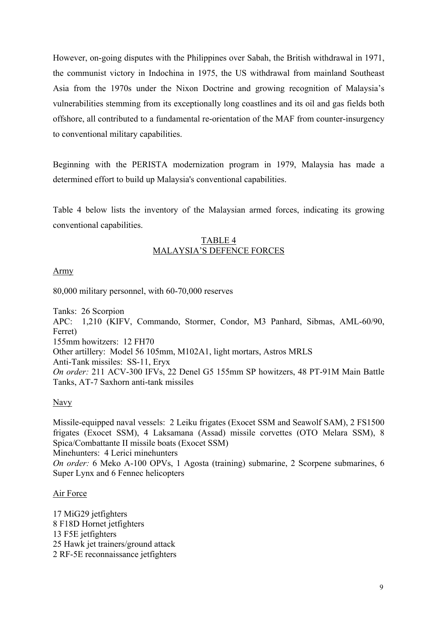However, on-going disputes with the Philippines over Sabah, the British withdrawal in 1971, the communist victory in Indochina in 1975, the US withdrawal from mainland Southeast Asia from the 1970s under the Nixon Doctrine and growing recognition of Malaysia's vulnerabilities stemming from its exceptionally long coastlines and its oil and gas fields both offshore, all contributed to a fundamental re-orientation of the MAF from counter-insurgency to conventional military capabilities.

Beginning with the PERISTA modernization program in 1979, Malaysia has made a determined effort to build up Malaysia's conventional capabilities.

Table 4 below lists the inventory of the Malaysian armed forces, indicating its growing conventional capabilities.

# TABLE 4 MALAYSIA'S DEFENCE FORCES

# Army

80,000 military personnel, with 60-70,000 reserves

Tanks: 26 Scorpion APC: 1,210 (KIFV, Commando, Stormer, Condor, M3 Panhard, Sibmas, AML-60/90, Ferret) 155mm howitzers: 12 FH70 Other artillery: Model 56 105mm, M102A1, light mortars, Astros MRLS Anti-Tank missiles: SS-11, Eryx *On order:* 211 ACV-300 IFVs, 22 Denel G5 155mm SP howitzers, 48 PT-91M Main Battle Tanks, AT-7 Saxhorn anti-tank missiles

Navy

Missile-equipped naval vessels: 2 Leiku frigates (Exocet SSM and Seawolf SAM), 2 FS1500 frigates (Exocet SSM), 4 Laksamana (Assad) missile corvettes (OTO Melara SSM), 8 Spica/Combattante II missile boats (Exocet SSM) Minehunters: 4 Lerici minehunters *On order:* 6 Meko A-100 OPVs, 1 Agosta (training) submarine, 2 Scorpene submarines, 6 Super Lynx and 6 Fennec helicopters

# Air Force

17 MiG29 jetfighters 8 F18D Hornet jetfighters 13 F5E jetfighters 25 Hawk jet trainers/ground attack 2 RF-5E reconnaissance jetfighters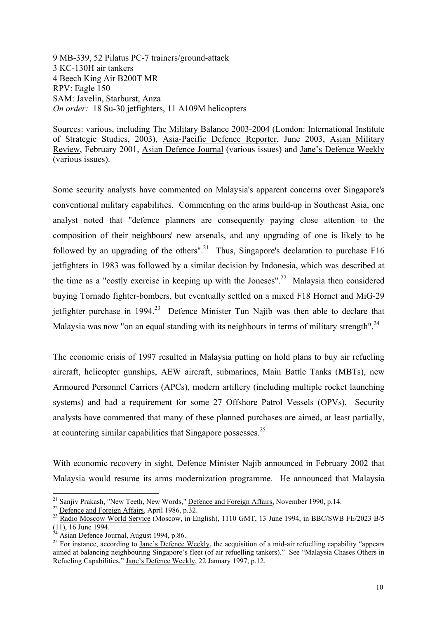9 MB-339, 52 Pilatus PC-7 trainers/ground-attack 3 KC-130H air tankers 4 Beech King Air B200T MR RPV: Eagle 150 SAM: Javelin, Starburst, Anza *On order:* 18 Su-30 jetfighters, 11 A109M helicopters

Sources: various, including The Military Balance 2003-2004 (London: International Institute of Strategic Studies, 2003), Asia-Pacific Defence Reporter, June 2003, Asian Military Review, February 2001, Asian Defence Journal (various issues) and Jane's Defence Weekly (various issues).

Some security analysts have commented on Malaysia's apparent concerns over Singapore's conventional military capabilities. Commenting on the arms build-up in Southeast Asia, one analyst noted that "defence planners are consequently paying close attention to the composition of their neighbours' new arsenals, and any upgrading of one is likely to be followed by an upgrading of the others".<sup>21</sup> Thus, Singapore's declaration to purchase F16 jetfighters in 1983 was followed by a similar decision by Indonesia, which was described at the time as a "costly exercise in keeping up with the Joneses".<sup>22</sup> Malaysia then considered buying Tornado fighter-bombers, but eventually settled on a mixed F18 Hornet and MiG-29 jetfighter purchase in  $1994<sup>23</sup>$  Defence Minister Tun Najib was then able to declare that Malaysia was now "on an equal standing with its neighbours in terms of military strength".<sup>24</sup>

The economic crisis of 1997 resulted in Malaysia putting on hold plans to buy air refueling aircraft, helicopter gunships, AEW aircraft, submarines, Main Battle Tanks (MBTs), new Armoured Personnel Carriers (APCs), modern artillery (including multiple rocket launching systems) and had a requirement for some 27 Offshore Patrol Vessels (OPVs). Security analysts have commented that many of these planned purchases are aimed, at least partially, at countering similar capabilities that Singapore possesses.[25](#page-13-4) 

With economic recovery in sight, Defence Minister Najib announced in February 2002 that Malaysia would resume its arms modernization programme. He announced that Malaysia

 $\overline{a}$ 

<span id="page-13-4"></span><span id="page-13-3"></span>

<span id="page-13-0"></span>

<span id="page-13-2"></span><span id="page-13-1"></span>

<sup>&</sup>lt;sup>21</sup> Sanjiv Prakash, "New Teeth, New Words," <u>Defence and Foreign Affairs</u>, November 1990, p.14.<br><sup>22</sup> <u>Defence and Foreign Affairs</u>, April 1986, p.32.<br><sup>23</sup> <u>Radio Moscow World Service</u> (Moscow, in English), 1110 GMT, 13 J

 $\frac{^{24}}{^{25}}$  Asian Defence Journal, August 1994, p.86.<br><sup>25</sup> For instance, according to Jane's Defence Weekly, the acquisition of a mid-air refuelling capability "appears aimed at balancing neighbouring Singapore's fleet (of air refuelling tankers)." See "Malaysia Chases Others in Refueling Capabilities," Jane's Defence Weekly, 22 January 1997, p.12.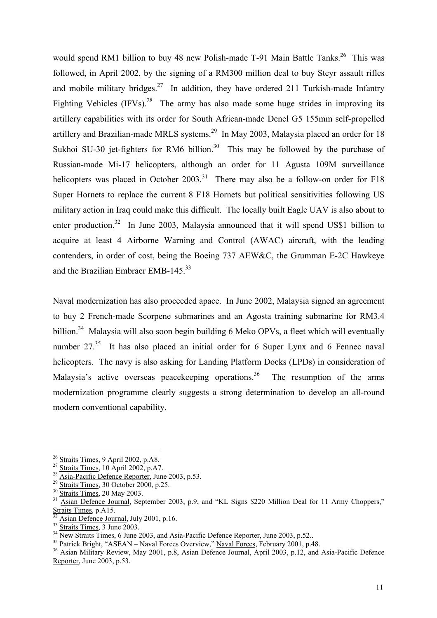would spend RM1 billion to buy 48 new Polish-made T-91 Main Battle Tanks.<sup>26</sup> This was followed, in April 2002, by the signing of a RM300 million deal to buy Steyr assault rifles and mobile military bridges.<sup>27</sup> In addition, they have ordered 211 Turkish-made Infantry Fighting Vehicles  $(IFVs)^{28}$  The army has also made some huge strides in improving its artillery capabilities with its order for South African-made Denel G5 155mm self-propelled artillery and Brazilian-made MRLS systems.<sup>29</sup> In May 2003, Malaysia placed an order for 18 Sukhoi SU-[30](#page-14-4) jet-fighters for RM6 billion.<sup>30</sup> This may be followed by the purchase of Russian-made Mi-17 helicopters, although an order for 11 Agusta 109M surveillance helicopters was placed in October  $2003$ <sup>31</sup>. There may also be a follow-on order for F18 Super Hornets to replace the current 8 F18 Hornets but political sensitivities following US military action in Iraq could make this difficult. The locally built Eagle UAV is also about to enter production.<sup>32</sup> In June 2003, Malaysia announced that it will spend US\$1 billion to acquire at least 4 Airborne Warning and Control (AWAC) aircraft, with the leading contenders, in order of cost, being the Boeing 737 AEW&C, the Grumman E-2C Hawkeye and the Brazilian Embraer EMB-145 $33$ 

Naval modernization has also proceeded apace. In June 2002, Malaysia signed an agreement to buy 2 French-made Scorpene submarines and an Agosta training submarine for RM3.4 billion.<sup>34</sup> Malaysia will also soon begin building 6 Meko OPVs, a fleet which will eventually number 27.<sup>35</sup> It has also placed an initial order for 6 Super Lynx and 6 Fennec naval helicopters. The navy is also asking for Landing Platform Docks (LPDs) in consideration of Malaysia's active overseas peacekeeping operations.<sup>36</sup> The resumption of the arms modernization programme clearly suggests a strong determination to develop an all-round modern conventional capability.

<span id="page-14-0"></span><sup>&</sup>lt;sup>26</sup> Straits Times, 9 April 2002, p.A8.

<span id="page-14-1"></span>

<span id="page-14-2"></span>

<span id="page-14-3"></span>

<span id="page-14-5"></span><span id="page-14-4"></span>

<sup>&</sup>lt;sup>27</sup> Straits Times, 10 April 2002, p.A7.<br><sup>28</sup> Asia-Pacific Defence Reporter, June 2003, p.53.<br><sup>29</sup> Straits Times, 30 October 2000, p.25.<br><sup>30</sup> Straits Times, 20 May 2003.<br><sup>31</sup> Asian Defence Journal, September 2003, p.9, an

<span id="page-14-6"></span>

<span id="page-14-7"></span>

<span id="page-14-8"></span>

<span id="page-14-10"></span><span id="page-14-9"></span>

<sup>&</sup>lt;sup>32</sup> Asian Defence Journal, July 2001, p.16.<br><sup>33</sup> Straits Times, 3 June 2003.<br><sup>34</sup> New Straits Times, 6 June 2003, and Asia-Pacific Defence Reporter, June 2003, p.52..<br><sup>35</sup> Patrick Bright, "ASEAN – Naval Forces Overview," Reporter, June 2003, p.53.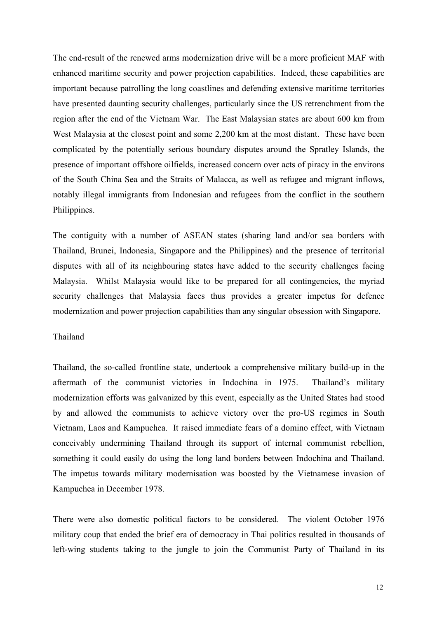The end-result of the renewed arms modernization drive will be a more proficient MAF with enhanced maritime security and power projection capabilities. Indeed, these capabilities are important because patrolling the long coastlines and defending extensive maritime territories have presented daunting security challenges, particularly since the US retrenchment from the region after the end of the Vietnam War. The East Malaysian states are about 600 km from West Malaysia at the closest point and some 2,200 km at the most distant. These have been complicated by the potentially serious boundary disputes around the Spratley Islands, the presence of important offshore oilfields, increased concern over acts of piracy in the environs of the South China Sea and the Straits of Malacca, as well as refugee and migrant inflows, notably illegal immigrants from Indonesian and refugees from the conflict in the southern Philippines.

The contiguity with a number of ASEAN states (sharing land and/or sea borders with Thailand, Brunei, Indonesia, Singapore and the Philippines) and the presence of territorial disputes with all of its neighbouring states have added to the security challenges facing Malaysia. Whilst Malaysia would like to be prepared for all contingencies, the myriad security challenges that Malaysia faces thus provides a greater impetus for defence modernization and power projection capabilities than any singular obsession with Singapore.

#### Thailand

Thailand, the so-called frontline state, undertook a comprehensive military build-up in the aftermath of the communist victories in Indochina in 1975. Thailand's military modernization efforts was galvanized by this event, especially as the United States had stood by and allowed the communists to achieve victory over the pro-US regimes in South Vietnam, Laos and Kampuchea. It raised immediate fears of a domino effect, with Vietnam conceivably undermining Thailand through its support of internal communist rebellion, something it could easily do using the long land borders between Indochina and Thailand. The impetus towards military modernisation was boosted by the Vietnamese invasion of Kampuchea in December 1978.

There were also domestic political factors to be considered. The violent October 1976 military coup that ended the brief era of democracy in Thai politics resulted in thousands of left-wing students taking to the jungle to join the Communist Party of Thailand in its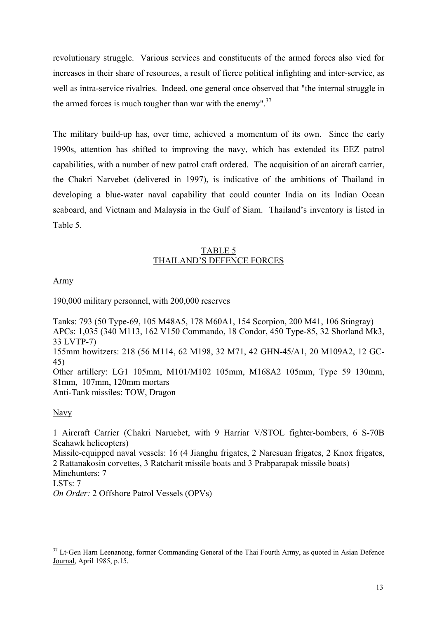revolutionary struggle. Various services and constituents of the armed forces also vied for increases in their share of resources, a result of fierce political infighting and inter-service, as well as intra-service rivalries. Indeed, one general once observed that "the internal struggle in the armed forces is much tougher than war with the enemy". $37$ 

The military build-up has, over time, achieved a momentum of its own. Since the early 1990s, attention has shifted to improving the navy, which has extended its EEZ patrol capabilities, with a number of new patrol craft ordered. The acquisition of an aircraft carrier, the Chakri Narvebet (delivered in 1997), is indicative of the ambitions of Thailand in developing a blue-water naval capability that could counter India on its Indian Ocean seaboard, and Vietnam and Malaysia in the Gulf of Siam. Thailand's inventory is listed in Table 5.

# TABLE 5 THAILAND'S DEFENCE FORCES

# Army

190,000 military personnel, with 200,000 reserves

Tanks: 793 (50 Type-69, 105 M48A5, 178 M60A1, 154 Scorpion, 200 M41, 106 Stingray) APCs: 1,035 (340 M113, 162 V150 Commando, 18 Condor, 450 Type-85, 32 Shorland Mk3, 33 LVTP-7) 155mm howitzers: 218 (56 M114, 62 M198, 32 M71, 42 GHN-45/A1, 20 M109A2, 12 GC-45) Other artillery: LG1 105mm, M101/M102 105mm, M168A2 105mm, Type 59 130mm, 81mm, 107mm, 120mm mortars Anti-Tank missiles: TOW, Dragon

# Navy

 $\overline{a}$ 

1 Aircraft Carrier (Chakri Naruebet, with 9 Harriar V/STOL fighter-bombers, 6 S-70B Seahawk helicopters) Missile-equipped naval vessels: 16 (4 Jianghu frigates, 2 Naresuan frigates, 2 Knox frigates, 2 Rattanakosin corvettes, 3 Ratcharit missile boats and 3 Prabparapak missile boats) Minehunters: 7 LSTs: 7 *On Order:* 2 Offshore Patrol Vessels (OPVs)

<span id="page-16-0"></span><sup>&</sup>lt;sup>37</sup> Lt-Gen Harn Leenanong, former Commanding General of the Thai Fourth Army, as quoted in Asian Defence Journal, April 1985, p.15.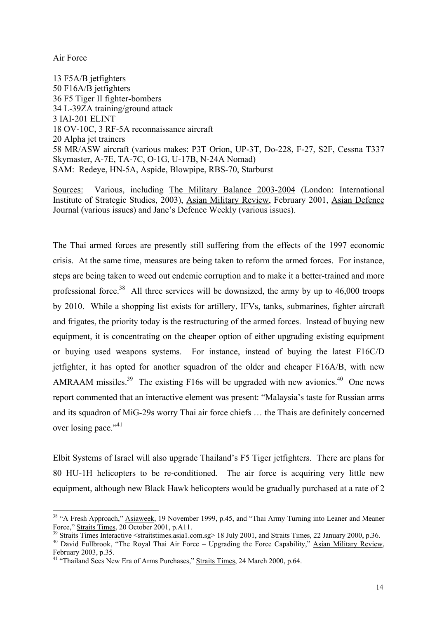# Air Force

 $\overline{a}$ 

13 F5A/B jetfighters 50 F16A/B jetfighters 36 F5 Tiger II fighter-bombers 34 L-39ZA training/ground attack 3 IAI-201 ELINT 18 OV-10C, 3 RF-5A reconnaissance aircraft 20 Alpha jet trainers 58 MR/ASW aircraft (various makes: P3T Orion, UP-3T, Do-228, F-27, S2F, Cessna T337 Skymaster, A-7E, TA-7C, O-1G, U-17B, N-24A Nomad) SAM: Redeye, HN-5A, Aspide, Blowpipe, RBS-70, Starburst

Sources: Various, including The Military Balance 2003-2004 (London: International Institute of Strategic Studies, 2003), Asian Military Review, February 2001, Asian Defence Journal (various issues) and Jane's Defence Weekly (various issues).

The Thai armed forces are presently still suffering from the effects of the 1997 economic crisis. At the same time, measures are being taken to reform the armed forces. For instance, steps are being taken to weed out endemic corruption and to make it a better-trained and more professional force.<sup>38</sup> All three services will be downsized, the army by up to  $46,000$  troops by 2010. While a shopping list exists for artillery, IFVs, tanks, submarines, fighter aircraft and frigates, the priority today is the restructuring of the armed forces. Instead of buying new equipment, it is concentrating on the cheaper option of either upgrading existing equipment or buying used weapons systems. For instance, instead of buying the latest F16C/D jetfighter, it has opted for another squadron of the older and cheaper F16A/B, with new AMRAAM missiles.<sup>39</sup> The existing F16s will be upgraded with new avionics.<sup>40</sup> One news report commented that an interactive element was present: "Malaysia's taste for Russian arms and its squadron of MiG-29s worry Thai air force chiefs … the Thais are definitely concerned over losing pace."<sup>41</sup>

Elbit Systems of Israel will also upgrade Thailand's F5 Tiger jetfighters. There are plans for 80 HU-1H helicopters to be re-conditioned. The air force is acquiring very little new equipment, although new Black Hawk helicopters would be gradually purchased at a rate of 2

<span id="page-17-0"></span><sup>&</sup>lt;sup>38</sup> "A Fresh Approach," **Asiaweek**, 19 November 1999, p.45, and "Thai Army Turning into Leaner and Meaner

<span id="page-17-2"></span><span id="page-17-1"></span>

Force," Straits Times, 20 October 2001, p.A11.<br><sup>39</sup> Straits Times Interactive <straitstimes.asia1.com.sg> 18 July 2001, and <u>Straits Times</u>, 22 January 2000, p.36.<br><sup>40</sup> David Fullbrook, "The Royal Thai Air Force – Upgradin February 2003, p.35. 41 "Thailand Sees New Era of Arms Purchases," Straits Times, 24 March 2000, p.64.

<span id="page-17-3"></span>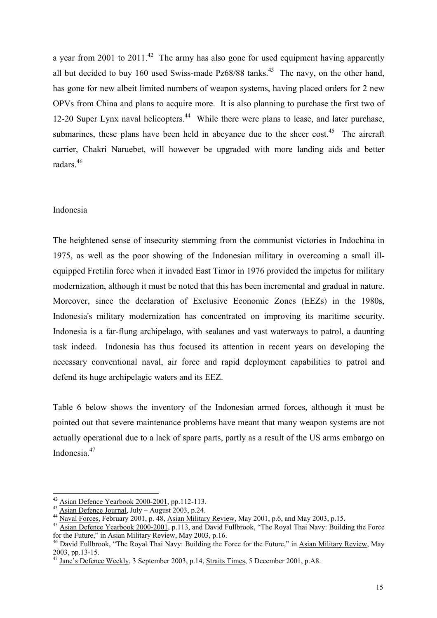a year from 2001 to  $2011.^{42}$  The army has also gone for used equipment having apparently all but decided to buy 160 used Swiss-made  $Pz68/88$  tanks.<sup>43</sup> The navy, on the other hand, has gone for new albeit limited numbers of weapon systems, having placed orders for 2 new OPVs from China and plans to acquire more. It is also planning to purchase the first two of 12-20 Super Lynx naval helicopters.<sup>44</sup> While there were plans to lease, and later purchase, submarines, these plans have been held in abeyance due to the sheer cost.<sup>45</sup> The aircraft carrier, Chakri Naruebet, will however be upgraded with more landing aids and better radars.<sup>46</sup>

#### Indonesia

 $\overline{a}$ 

The heightened sense of insecurity stemming from the communist victories in Indochina in 1975, as well as the poor showing of the Indonesian military in overcoming a small illequipped Fretilin force when it invaded East Timor in 1976 provided the impetus for military modernization, although it must be noted that this has been incremental and gradual in nature. Moreover, since the declaration of Exclusive Economic Zones (EEZs) in the 1980s, Indonesia's military modernization has concentrated on improving its maritime security. Indonesia is a far-flung archipelago, with sealanes and vast waterways to patrol, a daunting task indeed. Indonesia has thus focused its attention in recent years on developing the necessary conventional naval, air force and rapid deployment capabilities to patrol and defend its huge archipelagic waters and its EEZ.

Table 6 below shows the inventory of the Indonesian armed forces, although it must be pointed out that severe maintenance problems have meant that many weapon systems are not actually operational due to a lack of spare parts, partly as a result of the US arms embargo on Indonesia<sup>47</sup>

<span id="page-18-0"></span>

<span id="page-18-1"></span>

<span id="page-18-3"></span><span id="page-18-2"></span>

<sup>&</sup>lt;sup>42</sup> Asian Defence Yearbook 2000-2001, pp.112-113.<br><sup>43</sup> Asian Defence Journal, July – August 2003, p.24.<br><sup>44</sup> Naval Forces, February 2001, p. 48, Asian Military Review, May 2001, p.6, and May 2003, p.15.<br><sup>45</sup> Asian Defenc

<span id="page-18-4"></span><sup>&</sup>lt;sup>46</sup> David Fullbrook, "The Royal Thai Navy: Building the Force for the Future," in Asian Military Review, May 2003, pp.13-15. 47 Jane's Defence Weekly, 3 September 2003, p.14, Straits Times, 5 December 2001, p.A8.

<span id="page-18-5"></span>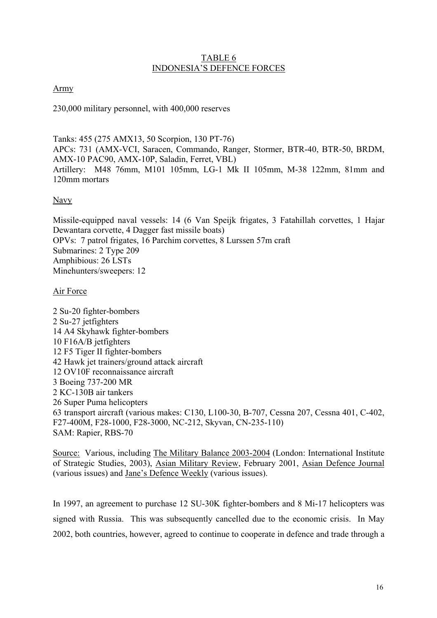### TABLE 6 INDONESIA'S DEFENCE FORCES

Army

230,000 military personnel, with 400,000 reserves

Tanks: 455 (275 AMX13, 50 Scorpion, 130 PT-76) APCs: 731 (AMX-VCI, Saracen, Commando, Ranger, Stormer, BTR-40, BTR-50, BRDM, AMX-10 PAC90, AMX-10P, Saladin, Ferret, VBL) Artillery: M48 76mm, M101 105mm, LG-1 Mk II 105mm, M-38 122mm, 81mm and 120mm mortars

# Navy

Missile-equipped naval vessels: 14 (6 Van Speijk frigates, 3 Fatahillah corvettes, 1 Hajar Dewantara corvette, 4 Dagger fast missile boats) OPVs: 7 patrol frigates, 16 Parchim corvettes, 8 Lurssen 57m craft Submarines: 2 Type 209 Amphibious: 26 LSTs Minehunters/sweepers: 12

# Air Force

2 Su-20 fighter-bombers 2 Su-27 jetfighters 14 A4 Skyhawk fighter-bombers 10 F16A/B jetfighters 12 F5 Tiger II fighter-bombers 42 Hawk jet trainers/ground attack aircraft 12 OV10F reconnaissance aircraft 3 Boeing 737-200 MR 2 KC-130B air tankers 26 Super Puma helicopters 63 transport aircraft (various makes: C130, L100-30, B-707, Cessna 207, Cessna 401, C-402, F27-400M, F28-1000, F28-3000, NC-212, Skyvan, CN-235-110) SAM: Rapier, RBS-70

Source: Various, including The Military Balance 2003-2004 (London: International Institute of Strategic Studies, 2003), Asian Military Review, February 2001, Asian Defence Journal (various issues) and Jane's Defence Weekly (various issues).

In 1997, an agreement to purchase 12 SU-30K fighter-bombers and 8 Mi-17 helicopters was signed with Russia. This was subsequently cancelled due to the economic crisis. In May 2002, both countries, however, agreed to continue to cooperate in defence and trade through a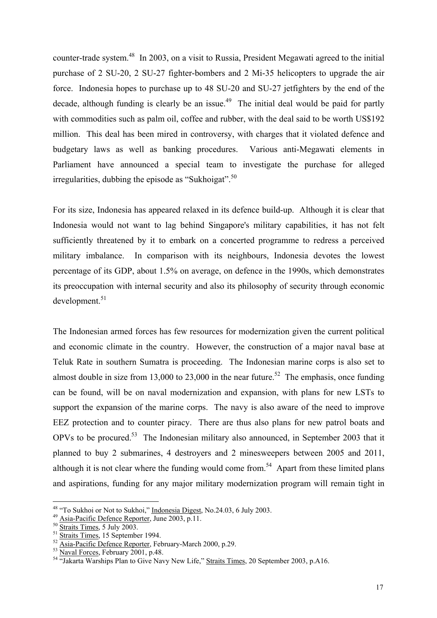counter-trade system.<sup>48</sup> In 2003, on a visit to Russia, President Megawati agreed to the initial purchase of 2 SU-20, 2 SU-27 fighter-bombers and 2 Mi-35 helicopters to upgrade the air force. Indonesia hopes to purchase up to 48 SU-20 and SU-27 jetfighters by the end of the decade, although funding is clearly be an issue.<sup>49</sup> The initial deal would be paid for partly with commodities such as palm oil, coffee and rubber, with the deal said to be worth US\$192 million. This deal has been mired in controversy, with charges that it violated defence and budgetary laws as well as banking procedures. Various anti-Megawati elements in Parliament have announced a special team to investigate the purchase for alleged irregularities, dubbing the episode as "Sukhoigat".<sup>50</sup>

For its size, Indonesia has appeared relaxed in its defence build-up. Although it is clear that Indonesia would not want to lag behind Singapore's military capabilities, it has not felt sufficiently threatened by it to embark on a concerted programme to redress a perceived military imbalance. In comparison with its neighbours, Indonesia devotes the lowest percentage of its GDP, about 1.5% on average, on defence in the 1990s, which demonstrates its preoccupation with internal security and also its philosophy of security through economic development.<sup>51</sup>

The Indonesian armed forces has few resources for modernization given the current political and economic climate in the country. However, the construction of a major naval base at Teluk Rate in southern Sumatra is proceeding. The Indonesian marine corps is also set to almost double in size from 13,000 to 23,000 in the near future.<sup>52</sup> The emphasis, once funding can be found, will be on naval modernization and expansion, with plans for new LSTs to support the expansion of the marine corps. The navy is also aware of the need to improve EEZ protection and to counter piracy. There are thus also plans for new patrol boats and OPVs to be procured.<sup>53</sup> The Indonesian military also announced, in September 2003 that it planned to buy 2 submarines, 4 destroyers and 2 minesweepers between 2005 and 2011, although it is not clear where the funding would come from.<sup>54</sup> Apart from these limited plans and aspirations, funding for any major military modernization program will remain tight in

<span id="page-20-0"></span><sup>&</sup>lt;sup>48</sup> "To Sukhoi or Not to Sukhoi," Indonesia Digest, No.24.03, 6 July 2003.

<span id="page-20-1"></span>

<span id="page-20-2"></span>

<span id="page-20-3"></span>

<span id="page-20-4"></span>

<span id="page-20-6"></span><span id="page-20-5"></span>

<sup>&</sup>lt;sup>49</sup> Asia-Pacific Defence Reporter, June 2003, p.11.<br>
<sup>50</sup> Straits Times, 5 July 2003.<br>
<sup>51</sup> Straits Times, 15 September 1994.<br>
<sup>52</sup> Asia-Pacific Defence Reporter, February-March 2000, p.29.<br>
<sup>53</sup> Naval Forces, February 2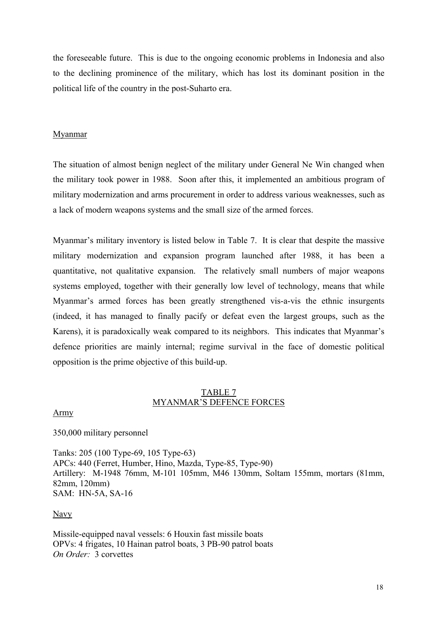the foreseeable future. This is due to the ongoing economic problems in Indonesia and also to the declining prominence of the military, which has lost its dominant position in the political life of the country in the post-Suharto era.

# Myanmar

The situation of almost benign neglect of the military under General Ne Win changed when the military took power in 1988. Soon after this, it implemented an ambitious program of military modernization and arms procurement in order to address various weaknesses, such as a lack of modern weapons systems and the small size of the armed forces.

Myanmar's military inventory is listed below in Table 7. It is clear that despite the massive military modernization and expansion program launched after 1988, it has been a quantitative, not qualitative expansion. The relatively small numbers of major weapons systems employed, together with their generally low level of technology, means that while Myanmar's armed forces has been greatly strengthened vis-a-vis the ethnic insurgents (indeed, it has managed to finally pacify or defeat even the largest groups, such as the Karens), it is paradoxically weak compared to its neighbors. This indicates that Myanmar's defence priorities are mainly internal; regime survival in the face of domestic political opposition is the prime objective of this build-up.

# TABLE 7 MYANMAR'S DEFENCE FORCES

Army

350,000 military personnel

Tanks: 205 (100 Type-69, 105 Type-63) APCs: 440 (Ferret, Humber, Hino, Mazda, Type-85, Type-90) Artillery: M-1948 76mm, M-101 105mm, M46 130mm, Soltam 155mm, mortars (81mm, 82mm, 120mm) SAM: HN-5A, SA-16

Navy

Missile-equipped naval vessels: 6 Houxin fast missile boats OPVs: 4 frigates, 10 Hainan patrol boats, 3 PB-90 patrol boats *On Order:* 3 corvettes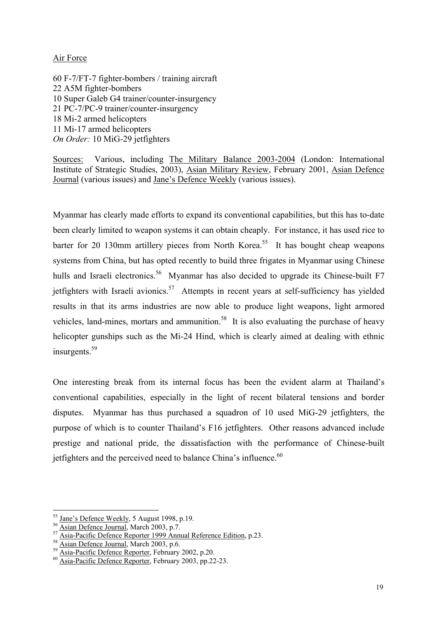# Air Force

60 F-7/FT-7 fighter-bombers / training aircraft 22 A5M fighter-bombers 10 Super Galeb G4 trainer/counter-insurgency 21 PC-7/PC-9 trainer/counter-insurgency 18 Mi-2 armed helicopters 11 Mi-17 armed helicopters *On Order:* 10 MiG-29 jetfighters

Sources: Various, including The Military Balance 2003-2004 (London: International Institute of Strategic Studies, 2003), Asian Military Review, February 2001, Asian Defence Journal (various issues) and Jane's Defence Weekly (various issues).

Myanmar has clearly made efforts to expand its conventional capabilities, but this has to-date been clearly limited to weapon systems it can obtain cheaply. For instance, it has used rice to barter for 20 130mm artillery pieces from North Korea.<sup>55</sup> It has bought cheap weapons systems from China, but has opted recently to build three frigates in Myanmar using Chinese hulls and Israeli electronics.<sup>56</sup> Myanmar has also decided to upgrade its Chinese-built F7 jetfighters with Israeli avionics.<sup>57</sup> Attempts in recent years at self-sufficiency has yielded results in that its arms industries are now able to produce light weapons, light armored vehicles, land-mines, mortars and ammunition.<sup>58</sup> It is also evaluating the purchase of heavy helicopter gunships such as the Mi-24 Hind, which is clearly aimed at dealing with ethnic insurgents.<sup>[59](#page-22-4)</sup>

One interesting break from its internal focus has been the evident alarm at Thailand's conventional capabilities, especially in the light of recent bilateral tensions and border disputes. Myanmar has thus purchased a squadron of 10 used MiG-29 jetfighters, the purpose of which is to counter Thailand's F16 jetfighters. Other reasons advanced include prestige and national pride, the dissatisfaction with the performance of Chinese-built jetfighters and the perceived need to balance China's influence.<sup>[60](#page-22-5)</sup>

<span id="page-22-0"></span><sup>&</sup>lt;sup>55</sup> Jane's Defence Weekly, 5 August 1998, p.19.

<span id="page-22-2"></span><span id="page-22-1"></span>

<sup>&</sup>lt;sup>56</sup> Asian Defence Journal, March 2003, p.7.<br>
<sup>57</sup> Asia-Pacific Defence Reporter 1999 Annual Reference Edition, p.23.<br>
<sup>58</sup> Asian Defence Journal, March 2003, p.6.<br>
<sup>59</sup> Asia-Pacific Defence Reporter, February 2002, p.20.<br>

<span id="page-22-3"></span>

<span id="page-22-4"></span>

<span id="page-22-5"></span>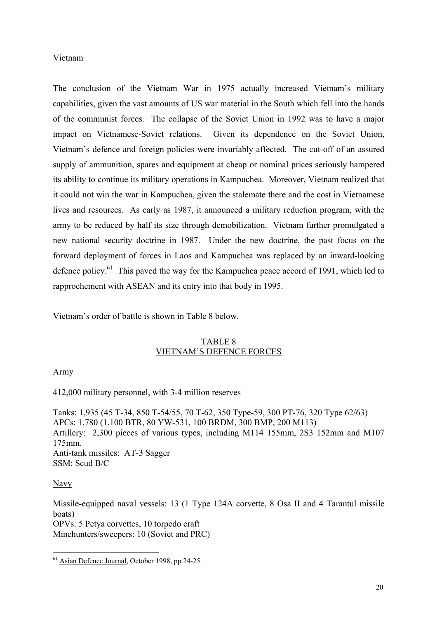### Vietnam

The conclusion of the Vietnam War in 1975 actually increased Vietnam's military capabilities, given the vast amounts of US war material in the South which fell into the hands of the communist forces. The collapse of the Soviet Union in 1992 was to have a major impact on Vietnamese-Soviet relations. Given its dependence on the Soviet Union, Vietnam's defence and foreign policies were invariably affected. The cut-off of an assured supply of ammunition, spares and equipment at cheap or nominal prices seriously hampered its ability to continue its military operations in Kampuchea. Moreover, Vietnam realized that it could not win the war in Kampuchea, given the stalemate there and the cost in Vietnamese lives and resources. As early as 1987, it announced a military reduction program, with the army to be reduced by half its size through demobilization. Vietnam further promulgated a new national security doctrine in 1987. Under the new doctrine, the past focus on the forward deployment of forces in Laos and Kampuchea was replaced by an inward-looking defence policy.<sup>61</sup> This paved the way for the Kampuchea peace accord of 1991, which led to rapprochement with ASEAN and its entry into that body in 1995.

Vietnam's order of battle is shown in Table 8 below.

# TABLE 8 VIETNAM'S DEFENCE FORCES

# Army

412,000 military personnel, with 3-4 million reserves

Tanks: 1,935 (45 T-34, 850 T-54/55, 70 T-62, 350 Type-59, 300 PT-76, 320 Type 62/63) APCs: 1,780 (1,100 BTR, 80 YW-531, 100 BRDM, 300 BMP, 200 M113) Artillery: 2,300 pieces of various types, including M114 155mm, 2S3 152mm and M107 175mm. Anti-tank missiles: AT-3 Sagger SSM: Scud B/C

#### Navy

 $\overline{a}$ 

Missile-equipped naval vessels: 13 (1 Type 124A corvette, 8 Osa II and 4 Tarantul missile boats) OPVs: 5 Petya corvettes, 10 torpedo craft Minehunters/sweepers: 10 (Soviet and PRC)

<span id="page-23-0"></span><sup>&</sup>lt;sup>61</sup> Asian Defence Journal, October 1998, pp.24-25.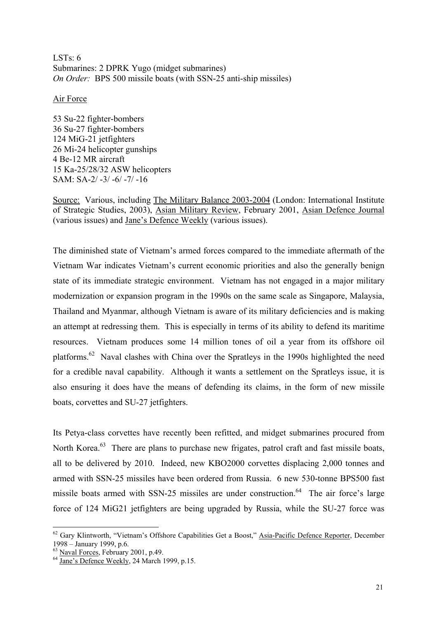LSTs:  $6$ Submarines: 2 DPRK Yugo (midget submarines) *On Order:* BPS 500 missile boats (with SSN-25 anti-ship missiles)

### Air Force

53 Su-22 fighter-bombers 36 Su-27 fighter-bombers 124 MiG-21 jetfighters 26 Mi-24 helicopter gunships 4 Be-12 MR aircraft 15 Ka-25/28/32 ASW helicopters SAM: SA-2/ -3/ -6/ -7/ -16

Source: Various, including The Military Balance 2003-2004 (London: International Institute of Strategic Studies, 2003), Asian Military Review, February 2001, Asian Defence Journal (various issues) and Jane's Defence Weekly (various issues).

The diminished state of Vietnam's armed forces compared to the immediate aftermath of the Vietnam War indicates Vietnam's current economic priorities and also the generally benign state of its immediate strategic environment. Vietnam has not engaged in a major military modernization or expansion program in the 1990s on the same scale as Singapore, Malaysia, Thailand and Myanmar, although Vietnam is aware of its military deficiencies and is making an attempt at redressing them. This is especially in terms of its ability to defend its maritime resources. Vietnam produces some 14 million tones of oil a year from its offshore oil platforms.[62](#page-24-0) Naval clashes with China over the Spratleys in the 1990s highlighted the need for a credible naval capability. Although it wants a settlement on the Spratleys issue, it is also ensuring it does have the means of defending its claims, in the form of new missile boats, corvettes and SU-27 jetfighters.

Its Petya-class corvettes have recently been refitted, and midget submarines procured from North Korea.<sup>63</sup> There are plans to purchase new frigates, patrol craft and fast missile boats, all to be delivered by 2010. Indeed, new KBO2000 corvettes displacing 2,000 tonnes and armed with SSN-25 missiles have been ordered from Russia. 6 new 530-tonne BPS500 fast missile boats armed with SSN-25 missiles are under construction.<sup>64</sup> The air force's large force of 124 MiG21 jetfighters are being upgraded by Russia, while the SU-27 force was

 $\overline{a}$ 

<span id="page-24-0"></span><sup>&</sup>lt;sup>62</sup> Gary Klintworth, "Vietnam's Offshore Capabilities Get a Boost," Asia-Pacific Defence Reporter, December 1998 – January 1999, p.6.<br> $^{63}$  Naval Forces, February 2001, p.49.<br> $^{64}$  Jane's Defence Weekly, 24 March 1999, p.15.

<span id="page-24-1"></span>

<span id="page-24-2"></span>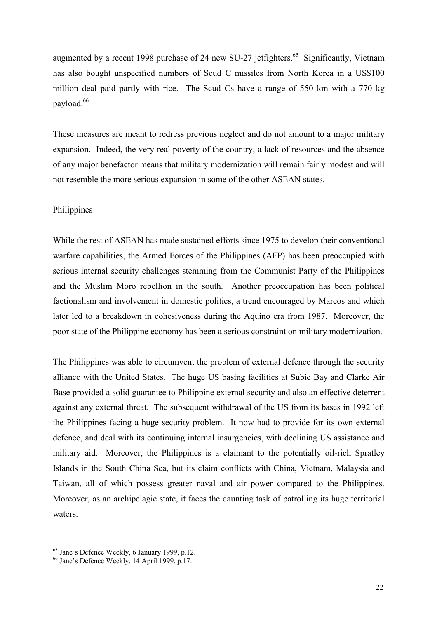augmented by a recent 1998 purchase of 24 new SU-27 jetfighters.<sup>65</sup> Significantly, Vietnam has also bought unspecified numbers of Scud C missiles from North Korea in a US\$100 million deal paid partly with rice. The Scud Cs have a range of 550 km with a 770 kg payload.<sup>66</sup>

These measures are meant to redress previous neglect and do not amount to a major military expansion. Indeed, the very real poverty of the country, a lack of resources and the absence of any major benefactor means that military modernization will remain fairly modest and will not resemble the more serious expansion in some of the other ASEAN states.

#### Philippines

While the rest of ASEAN has made sustained efforts since 1975 to develop their conventional warfare capabilities, the Armed Forces of the Philippines (AFP) has been preoccupied with serious internal security challenges stemming from the Communist Party of the Philippines and the Muslim Moro rebellion in the south. Another preoccupation has been political factionalism and involvement in domestic politics, a trend encouraged by Marcos and which later led to a breakdown in cohesiveness during the Aquino era from 1987. Moreover, the poor state of the Philippine economy has been a serious constraint on military modernization.

The Philippines was able to circumvent the problem of external defence through the security alliance with the United States. The huge US basing facilities at Subic Bay and Clarke Air Base provided a solid guarantee to Philippine external security and also an effective deterrent against any external threat. The subsequent withdrawal of the US from its bases in 1992 left the Philippines facing a huge security problem. It now had to provide for its own external defence, and deal with its continuing internal insurgencies, with declining US assistance and military aid. Moreover, the Philippines is a claimant to the potentially oil-rich Spratley Islands in the South China Sea, but its claim conflicts with China, Vietnam, Malaysia and Taiwan, all of which possess greater naval and air power compared to the Philippines. Moreover, as an archipelagic state, it faces the daunting task of patrolling its huge territorial waters.

 $\overline{a}$ 

<span id="page-25-0"></span><sup>&</sup>lt;sup>65</sup> Jane's Defence Weekly, 6 January 1999, p.12.<br><sup>66</sup> Jane's Defence Weekly, 14 April 1999, p.17.

<span id="page-25-1"></span>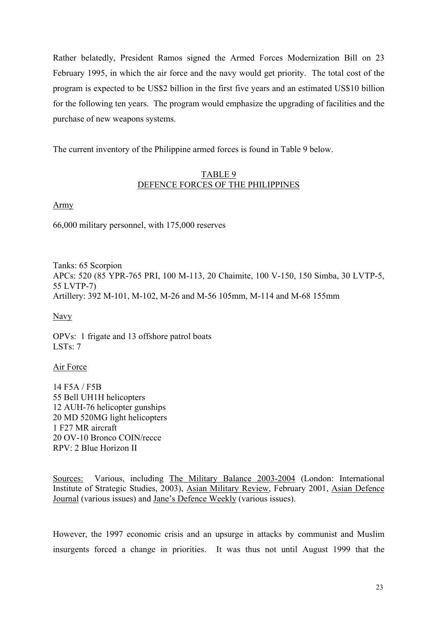Rather belatedly, President Ramos signed the Armed Forces Modernization Bill on 23 February 1995, in which the air force and the navy would get priority. The total cost of the program is expected to be US\$2 billion in the first five years and an estimated US\$10 billion for the following ten years. The program would emphasize the upgrading of facilities and the purchase of new weapons systems.

The current inventory of the Philippine armed forces is found in Table 9 below.

# TABLE 9 DEFENCE FORCES OF THE PHILIPPINES

Army

66,000 military personnel, with 175,000 reserves

Tanks: 65 Scorpion APCs: 520 (85 YPR-765 PRI, 100 M-113, 20 Chaimite, 100 V-150, 150 Simba, 30 LVTP-5, 55 LVTP-7) Artillery: 392 M-101, M-102, M-26 and M-56 105mm, M-114 and M-68 155mm

Navy

OPVs: 1 frigate and 13 offshore patrol boats LSTs: 7

Air Force

14 F5A / F5B 55 Bell UH1H helicopters 12 AUH-76 helicopter gunships 20 MD 520MG light helicopters 1 F27 MR aircraft 20 OV-10 Bronco COIN/recce RPV: 2 Blue Horizon II

Sources: Various, including The Military Balance 2003-2004 (London: International Institute of Strategic Studies, 2003), Asian Military Review, February 2001, Asian Defence Journal (various issues) and Jane's Defence Weekly (various issues).

However, the 1997 economic crisis and an upsurge in attacks by communist and Muslim insurgents forced a change in priorities. It was thus not until August 1999 that the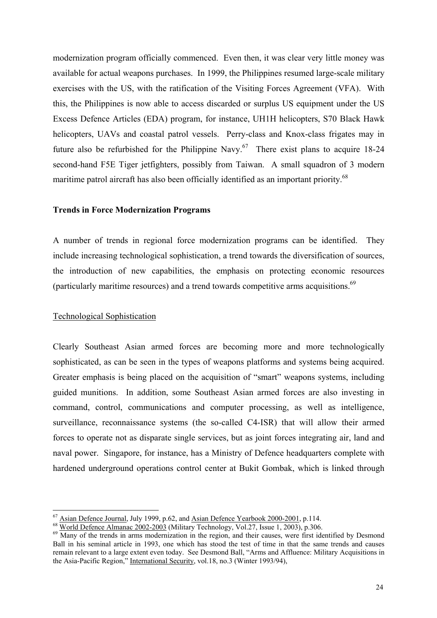modernization program officially commenced. Even then, it was clear very little money was available for actual weapons purchases. In 1999, the Philippines resumed large-scale military exercises with the US, with the ratification of the Visiting Forces Agreement (VFA). With this, the Philippines is now able to access discarded or surplus US equipment under the US Excess Defence Articles (EDA) program, for instance, UH1H helicopters, S70 Black Hawk helicopters, UAVs and coastal patrol vessels. Perry-class and Knox-class frigates may in future also be refurbished for the Philippine Navy.<sup>67</sup> There exist plans to acquire 18-24 second-hand F5E Tiger jetfighters, possibly from Taiwan. A small squadron of 3 modern maritime patrol aircraft has also been officially identified as an important priority.<sup>[68](#page-27-1)</sup>

#### **Trends in Force Modernization Programs**

A number of trends in regional force modernization programs can be identified. They include increasing technological sophistication, a trend towards the diversification of sources, the introduction of new capabilities, the emphasis on protecting economic resources (particularly maritime resources) and a trend towards competitive arms acquisitions.[69](#page-27-2)

#### Technological Sophistication

Clearly Southeast Asian armed forces are becoming more and more technologically sophisticated, as can be seen in the types of weapons platforms and systems being acquired. Greater emphasis is being placed on the acquisition of "smart" weapons systems, including guided munitions. In addition, some Southeast Asian armed forces are also investing in command, control, communications and computer processing, as well as intelligence, surveillance, reconnaissance systems (the so-called C4-ISR) that will allow their armed forces to operate not as disparate single services, but as joint forces integrating air, land and naval power. Singapore, for instance, has a Ministry of Defence headquarters complete with hardened underground operations control center at Bukit Gombak, which is linked through

<span id="page-27-0"></span><sup>&</sup>lt;sup>67</sup> Asian Defence Journal, July 1999, p.62, and Asian Defence Yearbook 2000-2001, p.114.

<span id="page-27-2"></span><span id="page-27-1"></span>

<sup>&</sup>lt;sup>68</sup> World Defence Almanac 2002-2003 (Military Technology, Vol.27, Issue 1, 2003), p.306.<br><sup>69</sup> Many of the trends in arms modernization in the region, and their causes, were first identified by Desmond Ball in his seminal article in 1993, one which has stood the test of time in that the same trends and causes remain relevant to a large extent even today. See Desmond Ball, "Arms and Affluence: Military Acquisitions in the Asia-Pacific Region," International Security, vol.18, no.3 (Winter 1993/94),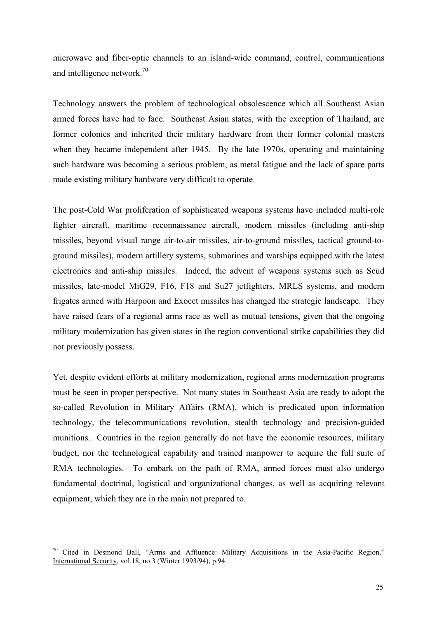microwave and fiber-optic channels to an island-wide command, control, communications and intelligence network.<sup>[70](#page-28-0)</sup>

Technology answers the problem of technological obsolescence which all Southeast Asian armed forces have had to face. Southeast Asian states, with the exception of Thailand, are former colonies and inherited their military hardware from their former colonial masters when they became independent after 1945. By the late 1970s, operating and maintaining such hardware was becoming a serious problem, as metal fatigue and the lack of spare parts made existing military hardware very difficult to operate.

The post-Cold War proliferation of sophisticated weapons systems have included multi-role fighter aircraft, maritime reconnaissance aircraft, modern missiles (including anti-ship missiles, beyond visual range air-to-air missiles, air-to-ground missiles, tactical ground-toground missiles), modern artillery systems, submarines and warships equipped with the latest electronics and anti-ship missiles. Indeed, the advent of weapons systems such as Scud missiles, late-model MiG29, F16, F18 and Su27 jetfighters, MRLS systems, and modern frigates armed with Harpoon and Exocet missiles has changed the strategic landscape. They have raised fears of a regional arms race as well as mutual tensions, given that the ongoing military modernization has given states in the region conventional strike capabilities they did not previously possess.

Yet, despite evident efforts at military modernization, regional arms modernization programs must be seen in proper perspective. Not many states in Southeast Asia are ready to adopt the so-called Revolution in Military Affairs (RMA), which is predicated upon information technology, the telecommunications revolution, stealth technology and precision-guided munitions. Countries in the region generally do not have the economic resources, military budget, nor the technological capability and trained manpower to acquire the full suite of RMA technologies. To embark on the path of RMA, armed forces must also undergo fundamental doctrinal, logistical and organizational changes, as well as acquiring relevant equipment, which they are in the main not prepared to.

 $\overline{a}$ 

<span id="page-28-0"></span> $70$  Cited in Desmond Ball, "Arms and Affluence: Military Acquisitions in the Asia-Pacific Region," International Security, vol.18, no.3 (Winter 1993/94), p.94.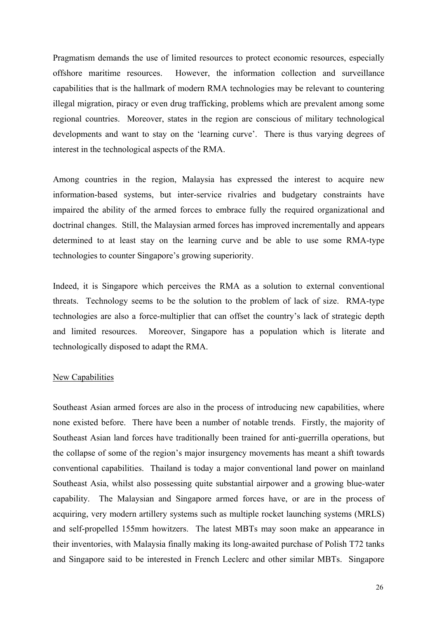Pragmatism demands the use of limited resources to protect economic resources, especially offshore maritime resources. However, the information collection and surveillance capabilities that is the hallmark of modern RMA technologies may be relevant to countering illegal migration, piracy or even drug trafficking, problems which are prevalent among some regional countries. Moreover, states in the region are conscious of military technological developments and want to stay on the 'learning curve'. There is thus varying degrees of interest in the technological aspects of the RMA.

Among countries in the region, Malaysia has expressed the interest to acquire new information-based systems, but inter-service rivalries and budgetary constraints have impaired the ability of the armed forces to embrace fully the required organizational and doctrinal changes. Still, the Malaysian armed forces has improved incrementally and appears determined to at least stay on the learning curve and be able to use some RMA-type technologies to counter Singapore's growing superiority.

Indeed, it is Singapore which perceives the RMA as a solution to external conventional threats. Technology seems to be the solution to the problem of lack of size. RMA-type technologies are also a force-multiplier that can offset the country's lack of strategic depth and limited resources. Moreover, Singapore has a population which is literate and technologically disposed to adapt the RMA.

#### New Capabilities

Southeast Asian armed forces are also in the process of introducing new capabilities, where none existed before. There have been a number of notable trends. Firstly, the majority of Southeast Asian land forces have traditionally been trained for anti-guerrilla operations, but the collapse of some of the region's major insurgency movements has meant a shift towards conventional capabilities. Thailand is today a major conventional land power on mainland Southeast Asia, whilst also possessing quite substantial airpower and a growing blue-water capability. The Malaysian and Singapore armed forces have, or are in the process of acquiring, very modern artillery systems such as multiple rocket launching systems (MRLS) and self-propelled 155mm howitzers. The latest MBTs may soon make an appearance in their inventories, with Malaysia finally making its long-awaited purchase of Polish T72 tanks and Singapore said to be interested in French Leclerc and other similar MBTs. Singapore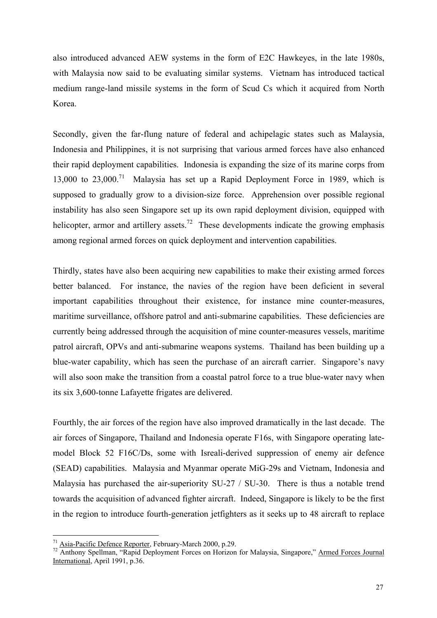also introduced advanced AEW systems in the form of E2C Hawkeyes, in the late 1980s, with Malaysia now said to be evaluating similar systems. Vietnam has introduced tactical medium range-land missile systems in the form of Scud Cs which it acquired from North Korea.

Secondly, given the far-flung nature of federal and achipelagic states such as Malaysia, Indonesia and Philippines, it is not surprising that various armed forces have also enhanced their rapid deployment capabilities. Indonesia is expanding the size of its marine corps from 13,000 to 23,000.[71](#page-30-0) Malaysia has set up a Rapid Deployment Force in 1989, which is supposed to gradually grow to a division-size force. Apprehension over possible regional instability has also seen Singapore set up its own rapid deployment division, equipped with helicopter, armor and artillery assets.<sup>72</sup> These developments indicate the growing emphasis among regional armed forces on quick deployment and intervention capabilities.

Thirdly, states have also been acquiring new capabilities to make their existing armed forces better balanced. For instance, the navies of the region have been deficient in several important capabilities throughout their existence, for instance mine counter-measures, maritime surveillance, offshore patrol and anti-submarine capabilities. These deficiencies are currently being addressed through the acquisition of mine counter-measures vessels, maritime patrol aircraft, OPVs and anti-submarine weapons systems. Thailand has been building up a blue-water capability, which has seen the purchase of an aircraft carrier. Singapore's navy will also soon make the transition from a coastal patrol force to a true blue-water navy when its six 3,600-tonne Lafayette frigates are delivered.

Fourthly, the air forces of the region have also improved dramatically in the last decade. The air forces of Singapore, Thailand and Indonesia operate F16s, with Singapore operating latemodel Block 52 F16C/Ds, some with Isreali-derived suppression of enemy air defence (SEAD) capabilities. Malaysia and Myanmar operate MiG-29s and Vietnam, Indonesia and Malaysia has purchased the air-superiority SU-27 / SU-30. There is thus a notable trend towards the acquisition of advanced fighter aircraft. Indeed, Singapore is likely to be the first in the region to introduce fourth-generation jetfighters as it seeks up to 48 aircraft to replace

 $\overline{a}$ 

<span id="page-30-1"></span><span id="page-30-0"></span>

 $\frac{71}{72}$  Asia-Pacific Defence Reporter, February-March 2000, p.29.<br><sup>72</sup> Anthony Spellman, "Rapid Deployment Forces on Horizon for Malaysia, Singapore," <u>Armed Forces Journal</u> International, April 1991, p.36.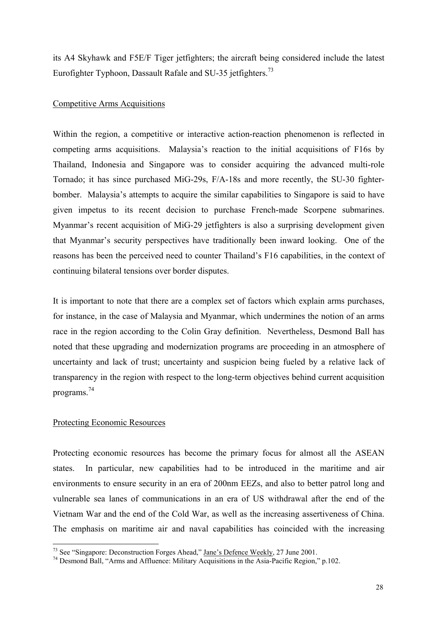its A4 Skyhawk and F5E/F Tiger jetfighters; the aircraft being considered include the latest Eurofighter Typhoon, Dassault Rafale and SU-35 jetfighters.<sup>73</sup>

# Competitive Arms Acquisitions

Within the region, a competitive or interactive action-reaction phenomenon is reflected in competing arms acquisitions. Malaysia's reaction to the initial acquisitions of F16s by Thailand, Indonesia and Singapore was to consider acquiring the advanced multi-role Tornado; it has since purchased MiG-29s, F/A-18s and more recently, the SU-30 fighterbomber. Malaysia's attempts to acquire the similar capabilities to Singapore is said to have given impetus to its recent decision to purchase French-made Scorpene submarines. Myanmar's recent acquisition of MiG-29 jetfighters is also a surprising development given that Myanmar's security perspectives have traditionally been inward looking. One of the reasons has been the perceived need to counter Thailand's F16 capabilities, in the context of continuing bilateral tensions over border disputes.

It is important to note that there are a complex set of factors which explain arms purchases, for instance, in the case of Malaysia and Myanmar, which undermines the notion of an arms race in the region according to the Colin Gray definition. Nevertheless, Desmond Ball has noted that these upgrading and modernization programs are proceeding in an atmosphere of uncertainty and lack of trust; uncertainty and suspicion being fueled by a relative lack of transparency in the region with respect to the long-term objectives behind current acquisition programs[.74](#page-31-1) 

# Protecting Economic Resources

Protecting economic resources has become the primary focus for almost all the ASEAN states. In particular, new capabilities had to be introduced in the maritime and air environments to ensure security in an era of 200nm EEZs, and also to better patrol long and vulnerable sea lanes of communications in an era of US withdrawal after the end of the Vietnam War and the end of the Cold War, as well as the increasing assertiveness of China. The emphasis on maritime air and naval capabilities has coincided with the increasing

<span id="page-31-0"></span><sup>&</sup>lt;sup>73</sup> See "Singapore: Deconstruction Forges Ahead," Jane's Defence Weekly, 27 June 2001.

<span id="page-31-1"></span><sup>&</sup>lt;sup>74</sup> Desmond Ball, "Arms and Affluence: Military Acquisitions in the Asia-Pacific Region," p.102.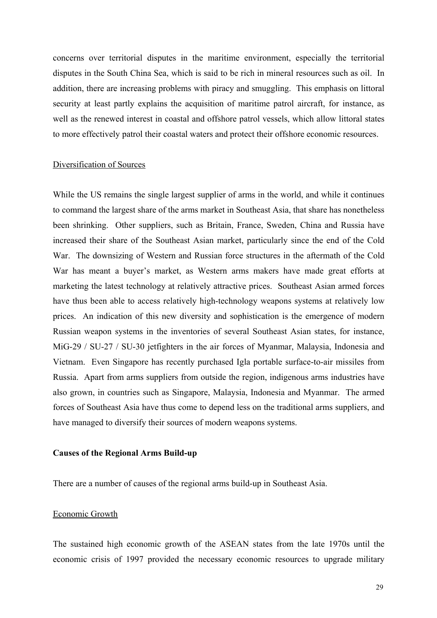concerns over territorial disputes in the maritime environment, especially the territorial disputes in the South China Sea, which is said to be rich in mineral resources such as oil. In addition, there are increasing problems with piracy and smuggling. This emphasis on littoral security at least partly explains the acquisition of maritime patrol aircraft, for instance, as well as the renewed interest in coastal and offshore patrol vessels, which allow littoral states to more effectively patrol their coastal waters and protect their offshore economic resources.

#### Diversification of Sources

While the US remains the single largest supplier of arms in the world, and while it continues to command the largest share of the arms market in Southeast Asia, that share has nonetheless been shrinking. Other suppliers, such as Britain, France, Sweden, China and Russia have increased their share of the Southeast Asian market, particularly since the end of the Cold War. The downsizing of Western and Russian force structures in the aftermath of the Cold War has meant a buyer's market, as Western arms makers have made great efforts at marketing the latest technology at relatively attractive prices. Southeast Asian armed forces have thus been able to access relatively high-technology weapons systems at relatively low prices. An indication of this new diversity and sophistication is the emergence of modern Russian weapon systems in the inventories of several Southeast Asian states, for instance, MiG-29 / SU-27 / SU-30 jetfighters in the air forces of Myanmar, Malaysia, Indonesia and Vietnam. Even Singapore has recently purchased Igla portable surface-to-air missiles from Russia. Apart from arms suppliers from outside the region, indigenous arms industries have also grown, in countries such as Singapore, Malaysia, Indonesia and Myanmar. The armed forces of Southeast Asia have thus come to depend less on the traditional arms suppliers, and have managed to diversify their sources of modern weapons systems.

#### **Causes of the Regional Arms Build-up**

There are a number of causes of the regional arms build-up in Southeast Asia.

#### Economic Growth

The sustained high economic growth of the ASEAN states from the late 1970s until the economic crisis of 1997 provided the necessary economic resources to upgrade military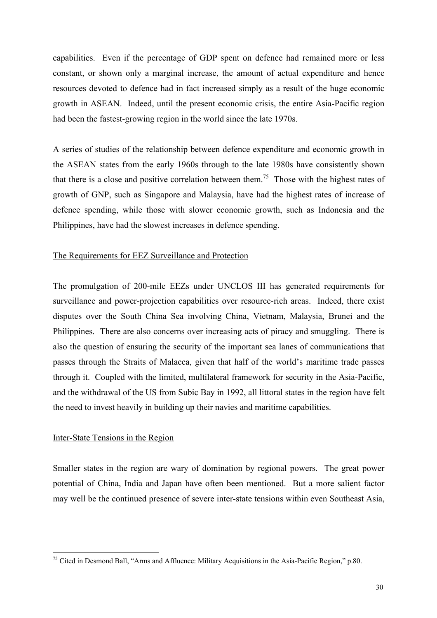capabilities. Even if the percentage of GDP spent on defence had remained more or less constant, or shown only a marginal increase, the amount of actual expenditure and hence resources devoted to defence had in fact increased simply as a result of the huge economic growth in ASEAN. Indeed, until the present economic crisis, the entire Asia-Pacific region had been the fastest-growing region in the world since the late 1970s.

A series of studies of the relationship between defence expenditure and economic growth in the ASEAN states from the early 1960s through to the late 1980s have consistently shown that there is a close and positive correlation between them.<sup>75</sup> Those with the highest rates of growth of GNP, such as Singapore and Malaysia, have had the highest rates of increase of defence spending, while those with slower economic growth, such as Indonesia and the Philippines, have had the slowest increases in defence spending.

# The Requirements for EEZ Surveillance and Protection

The promulgation of 200-mile EEZs under UNCLOS III has generated requirements for surveillance and power-projection capabilities over resource-rich areas. Indeed, there exist disputes over the South China Sea involving China, Vietnam, Malaysia, Brunei and the Philippines. There are also concerns over increasing acts of piracy and smuggling. There is also the question of ensuring the security of the important sea lanes of communications that passes through the Straits of Malacca, given that half of the world's maritime trade passes through it. Coupled with the limited, multilateral framework for security in the Asia-Pacific, and the withdrawal of the US from Subic Bay in 1992, all littoral states in the region have felt the need to invest heavily in building up their navies and maritime capabilities.

#### Inter-State Tensions in the Region

 $\overline{a}$ 

Smaller states in the region are wary of domination by regional powers. The great power potential of China, India and Japan have often been mentioned. But a more salient factor may well be the continued presence of severe inter-state tensions within even Southeast Asia,

<span id="page-33-0"></span> $75$  Cited in Desmond Ball, "Arms and Affluence: Military Acquisitions in the Asia-Pacific Region," p.80.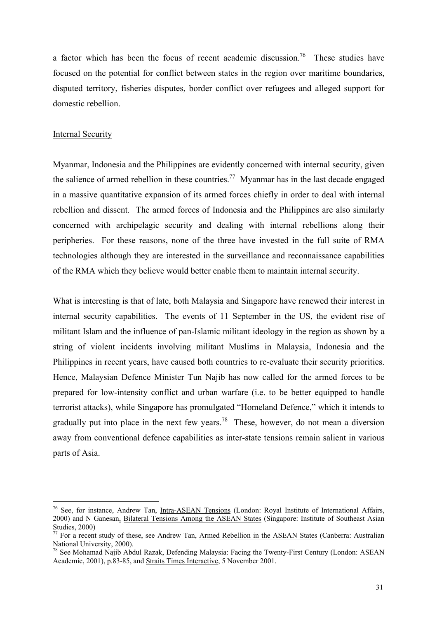a factor which has been the focus of recent academic discussion.<sup>76</sup> These studies have focused on the potential for conflict between states in the region over maritime boundaries, disputed territory, fisheries disputes, border conflict over refugees and alleged support for domestic rebellion.

#### Internal Security

 $\overline{a}$ 

Myanmar, Indonesia and the Philippines are evidently concerned with internal security, given the salience of armed rebellion in these countries.<sup>77</sup> Myanmar has in the last decade engaged in a massive quantitative expansion of its armed forces chiefly in order to deal with internal rebellion and dissent. The armed forces of Indonesia and the Philippines are also similarly concerned with archipelagic security and dealing with internal rebellions along their peripheries. For these reasons, none of the three have invested in the full suite of RMA technologies although they are interested in the surveillance and reconnaissance capabilities of the RMA which they believe would better enable them to maintain internal security.

What is interesting is that of late, both Malaysia and Singapore have renewed their interest in internal security capabilities. The events of 11 September in the US, the evident rise of militant Islam and the influence of pan-Islamic militant ideology in the region as shown by a string of violent incidents involving militant Muslims in Malaysia, Indonesia and the Philippines in recent years, have caused both countries to re-evaluate their security priorities. Hence, Malaysian Defence Minister Tun Najib has now called for the armed forces to be prepared for low-intensity conflict and urban warfare (i.e. to be better equipped to handle terrorist attacks), while Singapore has promulgated "Homeland Defence," which it intends to gradually put into place in the next few years.[78](#page-34-2) These, however, do not mean a diversion away from conventional defence capabilities as inter-state tensions remain salient in various parts of Asia.

<span id="page-34-0"></span><sup>&</sup>lt;sup>76</sup> See, for instance, Andrew Tan, *Intra-ASEAN Tensions* (London: Royal Institute of International Affairs, 2000) and N Ganesan, Bilateral Tensions Among the ASEAN States (Singapore: Institute of Southeast Asian

<span id="page-34-1"></span>Studies, 2000)<br>
<sup>77</sup> For a recent study of these, see Andrew Tan, <u>Armed Rebellion in the ASEAN States</u> (Canberra: Australian<br>
National University, 2000).

<span id="page-34-2"></span> $^{78}$  See Mohamad Najib Abdul Razak, Defending Malaysia: Facing the Twenty-First Century (London: ASEAN Academic, 2001), p.83-85, and Straits Times Interactive, 5 November 2001.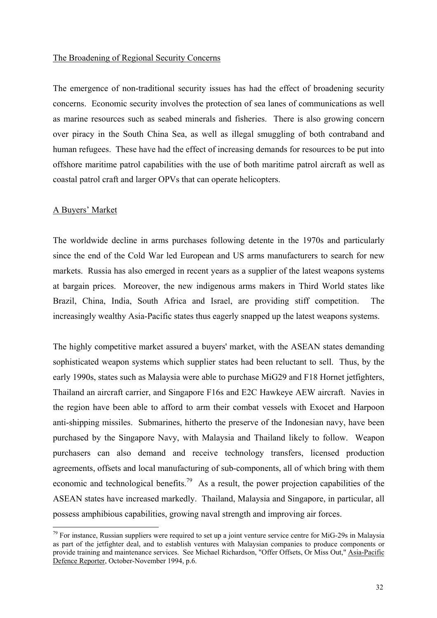#### The Broadening of Regional Security Concerns

The emergence of non-traditional security issues has had the effect of broadening security concerns. Economic security involves the protection of sea lanes of communications as well as marine resources such as seabed minerals and fisheries. There is also growing concern over piracy in the South China Sea, as well as illegal smuggling of both contraband and human refugees. These have had the effect of increasing demands for resources to be put into offshore maritime patrol capabilities with the use of both maritime patrol aircraft as well as coastal patrol craft and larger OPVs that can operate helicopters.

# A Buyers' Market

 $\overline{a}$ 

The worldwide decline in arms purchases following detente in the 1970s and particularly since the end of the Cold War led European and US arms manufacturers to search for new markets. Russia has also emerged in recent years as a supplier of the latest weapons systems at bargain prices. Moreover, the new indigenous arms makers in Third World states like Brazil, China, India, South Africa and Israel, are providing stiff competition. The increasingly wealthy Asia-Pacific states thus eagerly snapped up the latest weapons systems.

The highly competitive market assured a buyers' market, with the ASEAN states demanding sophisticated weapon systems which supplier states had been reluctant to sell. Thus, by the early 1990s, states such as Malaysia were able to purchase MiG29 and F18 Hornet jetfighters, Thailand an aircraft carrier, and Singapore F16s and E2C Hawkeye AEW aircraft. Navies in the region have been able to afford to arm their combat vessels with Exocet and Harpoon anti-shipping missiles. Submarines, hitherto the preserve of the Indonesian navy, have been purchased by the Singapore Navy, with Malaysia and Thailand likely to follow. Weapon purchasers can also demand and receive technology transfers, licensed production agreements, offsets and local manufacturing of sub-components, all of which bring with them economic and technological benefits.<sup>79</sup> As a result, the power projection capabilities of the ASEAN states have increased markedly. Thailand, Malaysia and Singapore, in particular, all possess amphibious capabilities, growing naval strength and improving air forces.

<span id="page-35-0"></span> $79$  For instance, Russian suppliers were required to set up a joint venture service centre for MiG-29s in Malaysia as part of the jetfighter deal, and to establish ventures with Malaysian companies to produce components or provide training and maintenance services. See Michael Richardson, "Offer Offsets, Or Miss Out," Asia-Pacific Defence Reporter, October-November 1994, p.6.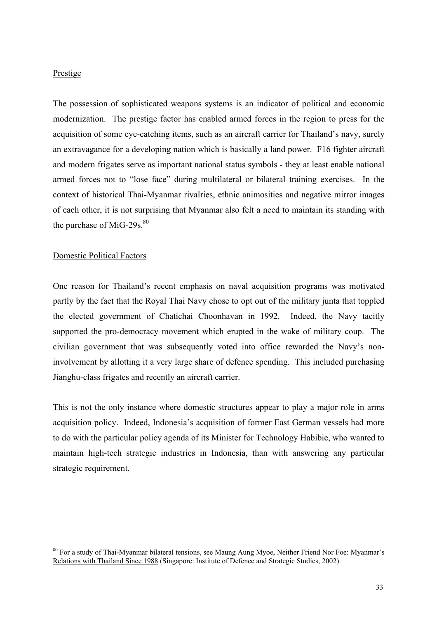### Prestige

The possession of sophisticated weapons systems is an indicator of political and economic modernization. The prestige factor has enabled armed forces in the region to press for the acquisition of some eye-catching items, such as an aircraft carrier for Thailand's navy, surely an extravagance for a developing nation which is basically a land power. F16 fighter aircraft and modern frigates serve as important national status symbols - they at least enable national armed forces not to "lose face" during multilateral or bilateral training exercises. In the context of historical Thai-Myanmar rivalries, ethnic animosities and negative mirror images of each other, it is not surprising that Myanmar also felt a need to maintain its standing with the purchase of MiG-29s. $80$ 

# Domestic Political Factors

 $\overline{a}$ 

One reason for Thailand's recent emphasis on naval acquisition programs was motivated partly by the fact that the Royal Thai Navy chose to opt out of the military junta that toppled the elected government of Chatichai Choonhavan in 1992. Indeed, the Navy tacitly supported the pro-democracy movement which erupted in the wake of military coup. The civilian government that was subsequently voted into office rewarded the Navy's noninvolvement by allotting it a very large share of defence spending. This included purchasing Jianghu-class frigates and recently an aircraft carrier.

This is not the only instance where domestic structures appear to play a major role in arms acquisition policy. Indeed, Indonesia's acquisition of former East German vessels had more to do with the particular policy agenda of its Minister for Technology Habibie, who wanted to maintain high-tech strategic industries in Indonesia, than with answering any particular strategic requirement.

<span id="page-36-0"></span><sup>&</sup>lt;sup>80</sup> For a study of Thai-Myanmar bilateral tensions, see Maung Aung Myoe, Neither Friend Nor Foe: Myanmar's Relations with Thailand Since 1988 (Singapore: Institute of Defence and Strategic Studies, 2002).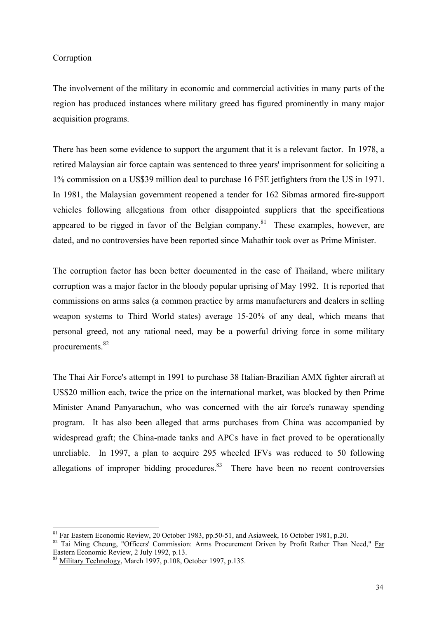# Corruption

The involvement of the military in economic and commercial activities in many parts of the region has produced instances where military greed has figured prominently in many major acquisition programs.

There has been some evidence to support the argument that it is a relevant factor. In 1978, a retired Malaysian air force captain was sentenced to three years' imprisonment for soliciting a 1% commission on a US\$39 million deal to purchase 16 F5E jetfighters from the US in 1971. In 1981, the Malaysian government reopened a tender for 162 Sibmas armored fire-support vehicles following allegations from other disappointed suppliers that the specifications appeared to be rigged in favor of the Belgian company.<sup>81</sup> These examples, however, are dated, and no controversies have been reported since Mahathir took over as Prime Minister.

The corruption factor has been better documented in the case of Thailand, where military corruption was a major factor in the bloody popular uprising of May 1992. It is reported that commissions on arms sales (a common practice by arms manufacturers and dealers in selling weapon systems to Third World states) average 15-20% of any deal, which means that personal greed, not any rational need, may be a powerful driving force in some military procurements.<sup>82</sup>

The Thai Air Force's attempt in 1991 to purchase 38 Italian-Brazilian AMX fighter aircraft at US\$20 million each, twice the price on the international market, was blocked by then Prime Minister Anand Panyarachun, who was concerned with the air force's runaway spending program. It has also been alleged that arms purchases from China was accompanied by widespread graft; the China-made tanks and APCs have in fact proved to be operationally unreliable. In 1997, a plan to acquire 295 wheeled IFVs was reduced to 50 following allegations of improper bidding procedures. $83$  There have been no recent controversies

<span id="page-37-0"></span><sup>&</sup>lt;sup>81</sup> Far Eastern Economic Review, 20 October 1983, pp.50-51, and Asiaweek, 16 October 1981, p.20.

<span id="page-37-1"></span> $\frac{1}{82}$  Tai Ming Cheung, "Officers' Commission: Arms Procurement Driven by Profit Rather Than Need," <u>Far</u> Eastern Economic Review, 2 July 1992, p.13.

<span id="page-37-2"></span>Military Technology, March 1997, p.108, October 1997, p.135.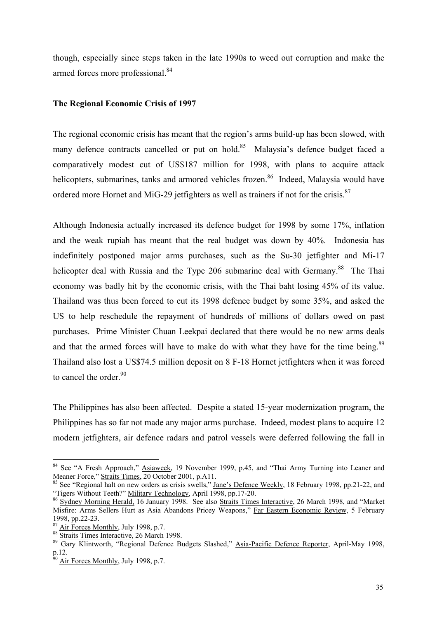though, especially since steps taken in the late 1990s to weed out corruption and make the armed forces more professional.<sup>[84](#page-38-0)</sup>

### **The Regional Economic Crisis of 1997**

The regional economic crisis has meant that the region's arms build-up has been slowed, with many defence contracts cancelled or put on hold.<sup>85</sup> Malaysia's defence budget faced a comparatively modest cut of US\$187 million for 1998, with plans to acquire attack helicopters, submarines, tanks and armored vehicles frozen.<sup>86</sup> Indeed, Malaysia would have ordered more Hornet and MiG-29 jetfighters as well as trainers if not for the crisis.<sup>87</sup>

Although Indonesia actually increased its defence budget for 1998 by some 17%, inflation and the weak rupiah has meant that the real budget was down by 40%. Indonesia has indefinitely postponed major arms purchases, such as the Su-30 jetfighter and Mi-17 helicopter deal with Russia and the Type 206 submarine deal with Germany.<sup>88</sup> The Thai economy was badly hit by the economic crisis, with the Thai baht losing 45% of its value. Thailand was thus been forced to cut its 1998 defence budget by some 35%, and asked the US to help reschedule the repayment of hundreds of millions of dollars owed on past purchases. Prime Minister Chuan Leekpai declared that there would be no new arms deals and that the armed forces will have to make do with what they have for the time being.<sup>89</sup> Thailand also lost a US\$74.5 million deposit on 8 F-18 Hornet jetfighters when it was forced to cancel the order.<sup>90</sup>

The Philippines has also been affected. Despite a stated 15-year modernization program, the Philippines has so far not made any major arms purchase. Indeed, modest plans to acquire 12 modern jetfighters, air defence radars and patrol vessels were deferred following the fall in

 $\overline{a}$ 

<span id="page-38-0"></span><sup>&</sup>lt;sup>84</sup> See "A Fresh Approach," Asiaweek, 19 November 1999, p.45, and "Thai Army Turning into Leaner and

<span id="page-38-1"></span>Meaner Force," Straits Times, 20 October 2001, p.A11.<br><sup>85</sup> See "Regional halt on new orders as crisis swells," <u>Jane's Defence Weekly</u>, 18 February 1998, pp.21-22, and<br>"Tigers Without Teeth?" <u>Military Technology</u>, April 1

<span id="page-38-2"></span><sup>&</sup>lt;sup>86</sup> Sydney Morning Herald, 16 January 1998. See also Straits Times Interactive, 26 March 1998, and "Market" Misfire: Arms Sellers Hurt as Asia Abandons Pricey Weapons," Far Eastern Economic Review, 5 February 1998, pp.22-23.<br><sup>87</sup> Air Forces Monthly, July 1998, p.7.<br><sup>88</sup> Straits Times Interactive, 26 March 1998.<br><sup>89</sup> Gary Klintworth, "Regional Defence Budgets Slashed," <u>Asia-Pacific Defence Reporter</u>, April-May 1998,

<span id="page-38-3"></span>

<span id="page-38-5"></span><span id="page-38-4"></span>

p.12.<br><sup>90</sup> <u>Air Forces Monthly</u>, July 1998, p.7.

<span id="page-38-6"></span>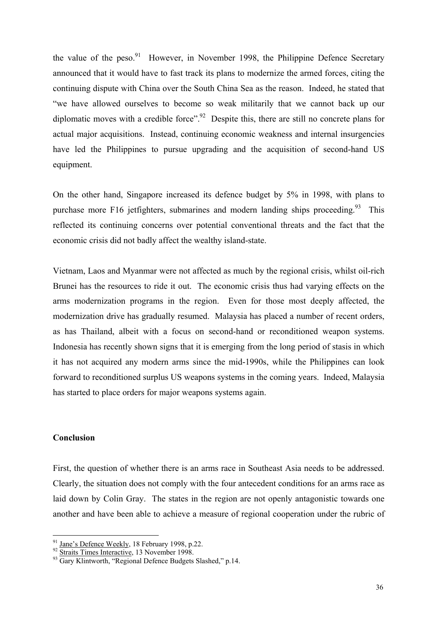the value of the peso.<sup>91</sup> However, in November 1998, the Philippine Defence Secretary announced that it would have to fast track its plans to modernize the armed forces, citing the continuing dispute with China over the South China Sea as the reason. Indeed, he stated that "we have allowed ourselves to become so weak militarily that we cannot back up our diplomatic moves with a credible force".<sup>92</sup> Despite this, there are still no concrete plans for actual major acquisitions. Instead, continuing economic weakness and internal insurgencies have led the Philippines to pursue upgrading and the acquisition of second-hand US equipment.

On the other hand, Singapore increased its defence budget by 5% in 1998, with plans to purchase more F16 jetfighters, submarines and modern landing ships proceeding.<sup>93</sup> This reflected its continuing concerns over potential conventional threats and the fact that the economic crisis did not badly affect the wealthy island-state.

Vietnam, Laos and Myanmar were not affected as much by the regional crisis, whilst oil-rich Brunei has the resources to ride it out. The economic crisis thus had varying effects on the arms modernization programs in the region. Even for those most deeply affected, the modernization drive has gradually resumed. Malaysia has placed a number of recent orders, as has Thailand, albeit with a focus on second-hand or reconditioned weapon systems. Indonesia has recently shown signs that it is emerging from the long period of stasis in which it has not acquired any modern arms since the mid-1990s, while the Philippines can look forward to reconditioned surplus US weapons systems in the coming years. Indeed, Malaysia has started to place orders for major weapons systems again.

# **Conclusion**

 $\overline{a}$ 

First, the question of whether there is an arms race in Southeast Asia needs to be addressed. Clearly, the situation does not comply with the four antecedent conditions for an arms race as laid down by Colin Gray. The states in the region are not openly antagonistic towards one another and have been able to achieve a measure of regional cooperation under the rubric of

<span id="page-39-2"></span><span id="page-39-1"></span>

<span id="page-39-0"></span><sup>&</sup>lt;sup>91</sup> Jane's Defence Weekly, 18 February 1998, p.22.<br><sup>92</sup> Straits Times Interactive, 13 November 1998.<br><sup>93</sup> Gary Klintworth, "Regional Defence Budgets Slashed," p.14.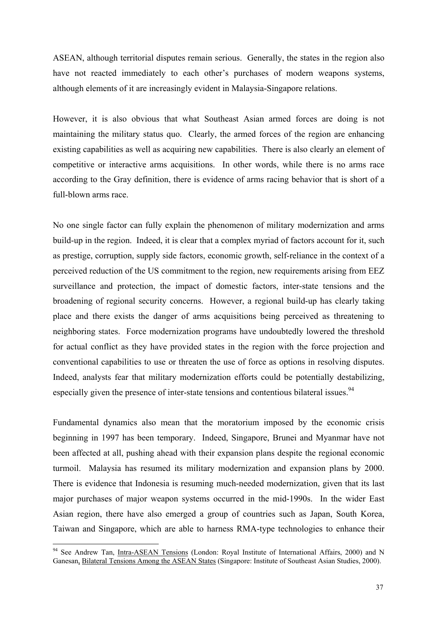ASEAN, although territorial disputes remain serious. Generally, the states in the region also have not reacted immediately to each other's purchases of modern weapons systems, although elements of it are increasingly evident in Malaysia-Singapore relations.

However, it is also obvious that what Southeast Asian armed forces are doing is not maintaining the military status quo. Clearly, the armed forces of the region are enhancing existing capabilities as well as acquiring new capabilities. There is also clearly an element of competitive or interactive arms acquisitions. In other words, while there is no arms race according to the Gray definition, there is evidence of arms racing behavior that is short of a full-blown arms race.

No one single factor can fully explain the phenomenon of military modernization and arms build-up in the region. Indeed, it is clear that a complex myriad of factors account for it, such as prestige, corruption, supply side factors, economic growth, self-reliance in the context of a perceived reduction of the US commitment to the region, new requirements arising from EEZ surveillance and protection, the impact of domestic factors, inter-state tensions and the broadening of regional security concerns. However, a regional build-up has clearly taking place and there exists the danger of arms acquisitions being perceived as threatening to neighboring states. Force modernization programs have undoubtedly lowered the threshold for actual conflict as they have provided states in the region with the force projection and conventional capabilities to use or threaten the use of force as options in resolving disputes. Indeed, analysts fear that military modernization efforts could be potentially destabilizing, especially given the presence of inter-state tensions and contentious bilateral issues.  $94$ 

Fundamental dynamics also mean that the moratorium imposed by the economic crisis beginning in 1997 has been temporary. Indeed, Singapore, Brunei and Myanmar have not been affected at all, pushing ahead with their expansion plans despite the regional economic turmoil. Malaysia has resumed its military modernization and expansion plans by 2000. There is evidence that Indonesia is resuming much-needed modernization, given that its last major purchases of major weapon systems occurred in the mid-1990s. In the wider East Asian region, there have also emerged a group of countries such as Japan, South Korea, Taiwan and Singapore, which are able to harness RMA-type technologies to enhance their

 $\overline{a}$ 

<span id="page-40-0"></span><sup>&</sup>lt;sup>94</sup> See Andrew Tan, Intra-ASEAN Tensions (London: Royal Institute of International Affairs, 2000) and N Ganesan, Bilateral Tensions Among the ASEAN States (Singapore: Institute of Southeast Asian Studies, 2000).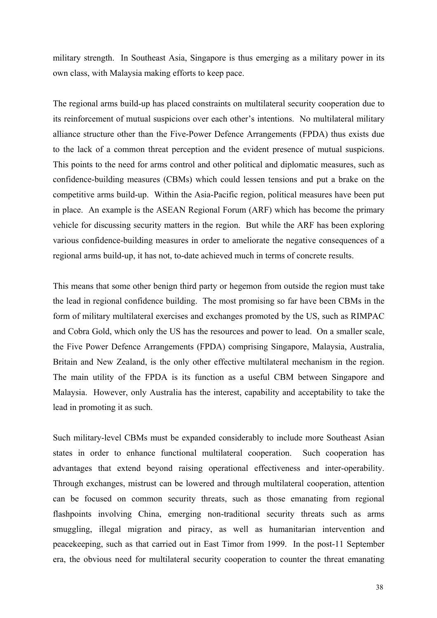military strength. In Southeast Asia, Singapore is thus emerging as a military power in its own class, with Malaysia making efforts to keep pace.

The regional arms build-up has placed constraints on multilateral security cooperation due to its reinforcement of mutual suspicions over each other's intentions. No multilateral military alliance structure other than the Five-Power Defence Arrangements (FPDA) thus exists due to the lack of a common threat perception and the evident presence of mutual suspicions. This points to the need for arms control and other political and diplomatic measures, such as confidence-building measures (CBMs) which could lessen tensions and put a brake on the competitive arms build-up. Within the Asia-Pacific region, political measures have been put in place. An example is the ASEAN Regional Forum (ARF) which has become the primary vehicle for discussing security matters in the region. But while the ARF has been exploring various confidence-building measures in order to ameliorate the negative consequences of a regional arms build-up, it has not, to-date achieved much in terms of concrete results.

This means that some other benign third party or hegemon from outside the region must take the lead in regional confidence building. The most promising so far have been CBMs in the form of military multilateral exercises and exchanges promoted by the US, such as RIMPAC and Cobra Gold, which only the US has the resources and power to lead. On a smaller scale, the Five Power Defence Arrangements (FPDA) comprising Singapore, Malaysia, Australia, Britain and New Zealand, is the only other effective multilateral mechanism in the region. The main utility of the FPDA is its function as a useful CBM between Singapore and Malaysia. However, only Australia has the interest, capability and acceptability to take the lead in promoting it as such.

Such military-level CBMs must be expanded considerably to include more Southeast Asian states in order to enhance functional multilateral cooperation. Such cooperation has advantages that extend beyond raising operational effectiveness and inter-operability. Through exchanges, mistrust can be lowered and through multilateral cooperation, attention can be focused on common security threats, such as those emanating from regional flashpoints involving China, emerging non-traditional security threats such as arms smuggling, illegal migration and piracy, as well as humanitarian intervention and peacekeeping, such as that carried out in East Timor from 1999. In the post-11 September era, the obvious need for multilateral security cooperation to counter the threat emanating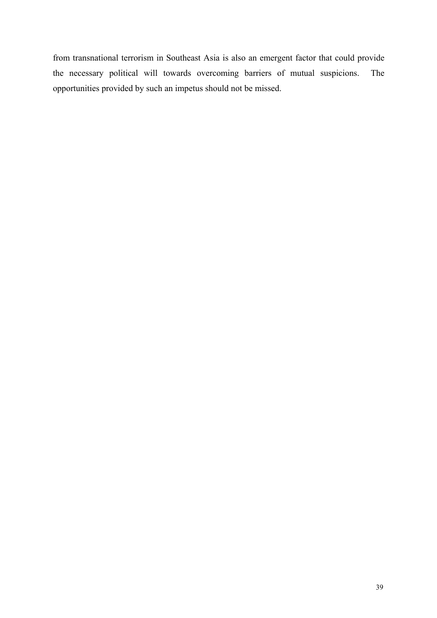from transnational terrorism in Southeast Asia is also an emergent factor that could provide the necessary political will towards overcoming barriers of mutual suspicions. The opportunities provided by such an impetus should not be missed.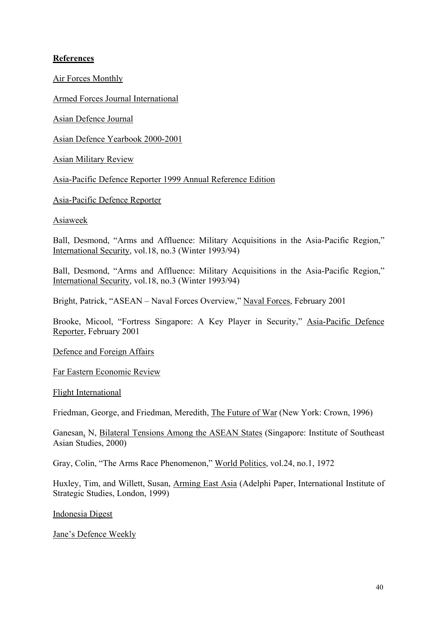# **References**

Air Forces Monthly

Armed Forces Journal International

Asian Defence Journal

Asian Defence Yearbook 2000-2001

Asian Military Review

Asia-Pacific Defence Reporter 1999 Annual Reference Edition

Asia-Pacific Defence Reporter

Asiaweek

Ball, Desmond, "Arms and Affluence: Military Acquisitions in the Asia-Pacific Region," International Security, vol.18, no.3 (Winter 1993/94)

Ball, Desmond, "Arms and Affluence: Military Acquisitions in the Asia-Pacific Region," International Security, vol.18, no.3 (Winter 1993/94)

Bright, Patrick, "ASEAN – Naval Forces Overview," Naval Forces, February 2001

Brooke, Micool, "Fortress Singapore: A Key Player in Security," Asia-Pacific Defence Reporter, February 2001

Defence and Foreign Affairs

Far Eastern Economic Review

Flight International

Friedman, George, and Friedman, Meredith, The Future of War (New York: Crown, 1996)

Ganesan, N, Bilateral Tensions Among the ASEAN States (Singapore: Institute of Southeast Asian Studies, 2000)

Gray, Colin, "The Arms Race Phenomenon," World Politics, vol.24, no.1, 1972

Huxley, Tim, and Willett, Susan, Arming East Asia (Adelphi Paper, International Institute of Strategic Studies, London, 1999)

Indonesia Digest

Jane's Defence Weekly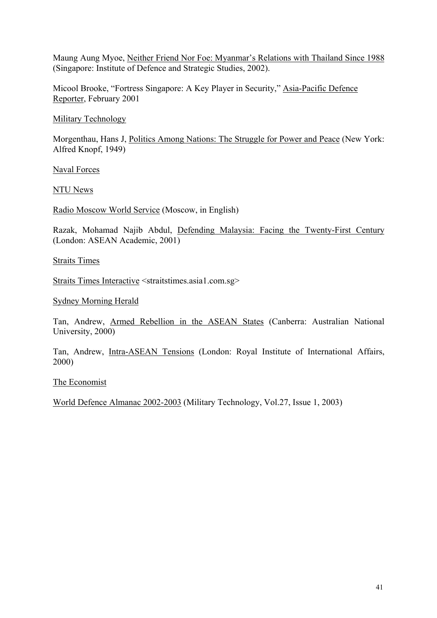Maung Aung Myoe, Neither Friend Nor Foe: Myanmar's Relations with Thailand Since 1988 (Singapore: Institute of Defence and Strategic Studies, 2002).

Micool Brooke, "Fortress Singapore: A Key Player in Security," Asia-Pacific Defence Reporter, February 2001

Military Technology

Morgenthau, Hans J, Politics Among Nations: The Struggle for Power and Peace (New York: Alfred Knopf, 1949)

Naval Forces

NTU News

Radio Moscow World Service (Moscow, in English)

Razak, Mohamad Najib Abdul, Defending Malaysia: Facing the Twenty-First Century (London: ASEAN Academic, 2001)

Straits Times

Straits Times Interactive <straitstimes.asia1.com.sg>

Sydney Morning Herald

Tan, Andrew, Armed Rebellion in the ASEAN States (Canberra: Australian National University, 2000)

Tan, Andrew, Intra-ASEAN Tensions (London: Royal Institute of International Affairs, 2000)

The Economist

World Defence Almanac 2002-2003 (Military Technology, Vol.27, Issue 1, 2003)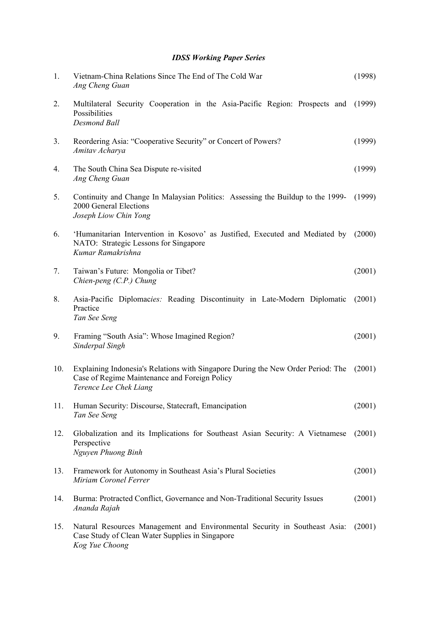# *IDSS Working Paper Series*

| 1.             | Vietnam-China Relations Since The End of The Cold War<br>Ang Cheng Guan                                                                                     | (1998) |
|----------------|-------------------------------------------------------------------------------------------------------------------------------------------------------------|--------|
| 2.             | Multilateral Security Cooperation in the Asia-Pacific Region: Prospects and<br>Possibilities<br><b>Desmond Ball</b>                                         | (1999) |
| 3 <sub>1</sub> | Reordering Asia: "Cooperative Security" or Concert of Powers?<br>Amitav Acharya                                                                             | (1999) |
| 4.             | The South China Sea Dispute re-visited<br>Ang Cheng Guan                                                                                                    | (1999) |
| 5.             | Continuity and Change In Malaysian Politics: Assessing the Buildup to the 1999- (1999)<br>2000 General Elections<br>Joseph Liow Chin Yong                   |        |
| 6.             | 'Humanitarian Intervention in Kosovo' as Justified, Executed and Mediated by<br>NATO: Strategic Lessons for Singapore<br>Kumar Ramakrishna                  | (2000) |
| 7.             | Taiwan's Future: Mongolia or Tibet?<br>Chien-peng $(C.P.)$ Chung                                                                                            | (2001) |
| 8.             | Asia-Pacific Diplomacies: Reading Discontinuity in Late-Modern Diplomatic<br>Practice<br>Tan See Seng                                                       | (2001) |
| 9.             | Framing "South Asia": Whose Imagined Region?<br>Sinderpal Singh                                                                                             | (2001) |
| 10.            | Explaining Indonesia's Relations with Singapore During the New Order Period: The<br>Case of Regime Maintenance and Foreign Policy<br>Terence Lee Chek Liang | (2001) |
| 11.            | Human Security: Discourse, Statecraft, Emancipation<br>Tan See Seng                                                                                         | (2001) |
| 12.            | Globalization and its Implications for Southeast Asian Security: A Vietnamese<br>Perspective<br>Nguyen Phuong Binh                                          | (2001) |
| 13.            | Framework for Autonomy in Southeast Asia's Plural Societies<br>Miriam Coronel Ferrer                                                                        | (2001) |
| 14.            | Burma: Protracted Conflict, Governance and Non-Traditional Security Issues<br>Ananda Rajah                                                                  | (2001) |
| 15.            | Natural Resources Management and Environmental Security in Southeast Asia:<br>Case Study of Clean Water Supplies in Singapore<br>Kog Yue Choong             | (2001) |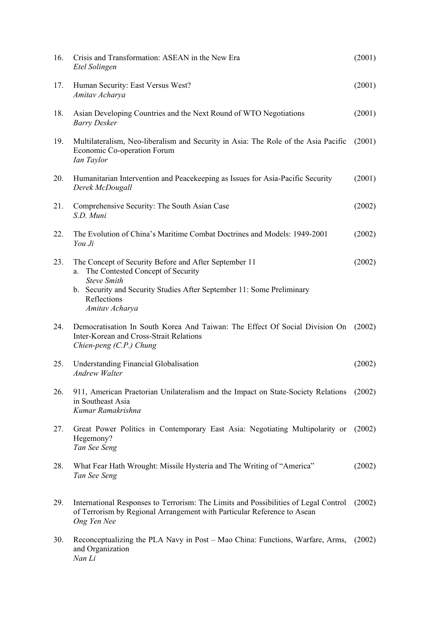| 16. | Crisis and Transformation: ASEAN in the New Era<br>Etel Solingen                                                                                                                                                                 | (2001) |
|-----|----------------------------------------------------------------------------------------------------------------------------------------------------------------------------------------------------------------------------------|--------|
| 17. | Human Security: East Versus West?<br>Amitav Acharya                                                                                                                                                                              | (2001) |
| 18. | Asian Developing Countries and the Next Round of WTO Negotiations<br><b>Barry Desker</b>                                                                                                                                         | (2001) |
| 19. | Multilateralism, Neo-liberalism and Security in Asia: The Role of the Asia Pacific<br>Economic Co-operation Forum<br>Ian Taylor                                                                                                  | (2001) |
| 20. | Humanitarian Intervention and Peacekeeping as Issues for Asia-Pacific Security<br>Derek McDougall                                                                                                                                | (2001) |
| 21. | Comprehensive Security: The South Asian Case<br>S.D. Muni                                                                                                                                                                        | (2002) |
| 22. | The Evolution of China's Maritime Combat Doctrines and Models: 1949-2001<br>You Ji                                                                                                                                               | (2002) |
| 23. | The Concept of Security Before and After September 11<br>The Contested Concept of Security<br>a.<br><b>Steve Smith</b><br>b. Security and Security Studies After September 11: Some Preliminary<br>Reflections<br>Amitav Acharya | (2002) |
| 24. | Democratisation In South Korea And Taiwan: The Effect Of Social Division On<br>Inter-Korean and Cross-Strait Relations<br>Chien-peng $(C.P.)$ Chung                                                                              | (2002) |
| 25. | <b>Understanding Financial Globalisation</b><br><b>Andrew Walter</b>                                                                                                                                                             | (2002) |
| 26. | 911, American Praetorian Unilateralism and the Impact on State-Society Relations<br>in Southeast Asia<br>Kumar Ramakrishna                                                                                                       | (2002) |
| 27. | Great Power Politics in Contemporary East Asia: Negotiating Multipolarity or<br>Hegemony?<br>Tan See Seng                                                                                                                        | (2002) |
| 28. | What Fear Hath Wrought: Missile Hysteria and The Writing of "America"<br>Tan See Seng                                                                                                                                            | (2002) |
| 29. | International Responses to Terrorism: The Limits and Possibilities of Legal Control<br>of Terrorism by Regional Arrangement with Particular Reference to Asean<br>Ong Yen Nee                                                    | (2002) |
| 30. | Reconceptualizing the PLA Navy in Post – Mao China: Functions, Warfare, Arms,<br>and Organization<br>Nan Li                                                                                                                      | (2002) |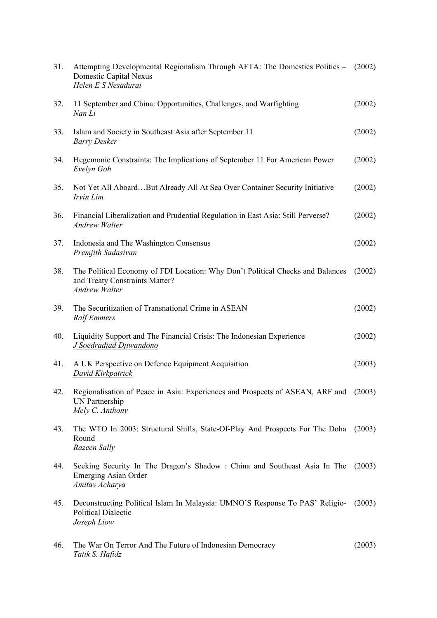| 31. | Attempting Developmental Regionalism Through AFTA: The Domestics Politics – (2002)<br>Domestic Capital Nexus<br>Helen E S Nesadurai      |        |
|-----|------------------------------------------------------------------------------------------------------------------------------------------|--------|
| 32. | 11 September and China: Opportunities, Challenges, and Warfighting<br>Nan Li                                                             | (2002) |
| 33. | Islam and Society in Southeast Asia after September 11<br><b>Barry Desker</b>                                                            | (2002) |
| 34. | Hegemonic Constraints: The Implications of September 11 For American Power<br>Evelyn Goh                                                 | (2002) |
| 35. | Not Yet All AboardBut Already All At Sea Over Container Security Initiative<br>Irvin Lim                                                 | (2002) |
| 36. | Financial Liberalization and Prudential Regulation in East Asia: Still Perverse?<br><b>Andrew Walter</b>                                 | (2002) |
| 37. | Indonesia and The Washington Consensus<br>Premjith Sadasivan                                                                             | (2002) |
| 38. | The Political Economy of FDI Location: Why Don't Political Checks and Balances<br>and Treaty Constraints Matter?<br><b>Andrew Walter</b> | (2002) |
| 39. | The Securitization of Transnational Crime in ASEAN<br><b>Ralf Emmers</b>                                                                 | (2002) |
| 40. | Liquidity Support and The Financial Crisis: The Indonesian Experience<br>J Soedradjad Djiwandono                                         | (2002) |
| 41. | A UK Perspective on Defence Equipment Acquisition<br><b>David Kirkpatrick</b>                                                            | (2003) |
| 42. | Regionalisation of Peace in Asia: Experiences and Prospects of ASEAN, ARF and (2003)<br>UN Partnership<br>Mely C. Anthony                |        |
| 43. | The WTO In 2003: Structural Shifts, State-Of-Play And Prospects For The Doha (2003)<br>Round<br>Razeen Sally                             |        |
| 44. | Seeking Security In The Dragon's Shadow: China and Southeast Asia In The (2003)<br><b>Emerging Asian Order</b><br>Amitav Acharya         |        |
| 45. | Deconstructing Political Islam In Malaysia: UMNO'S Response To PAS' Religio-<br><b>Political Dialectic</b><br>Joseph Liow                | (2003) |
| 46. | The War On Terror And The Future of Indonesian Democracy<br>Tatik S. Hafidz                                                              | (2003) |